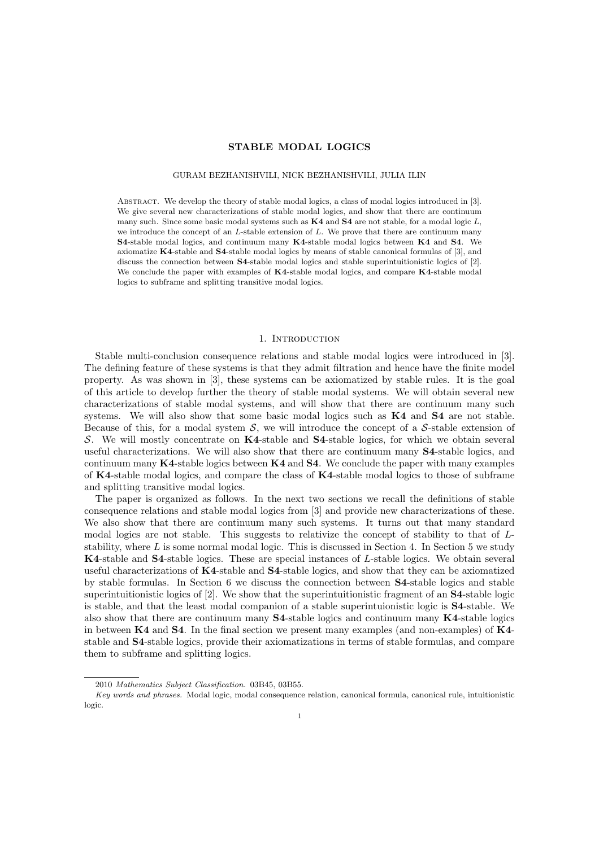# STABLE MODAL LOGICS

#### GURAM BEZHANISHVILI, NICK BEZHANISHVILI, JULIA ILIN

ABSTRACT. We develop the theory of stable modal logics, a class of modal logics introduced in [3]. We give several new characterizations of stable modal logics, and show that there are continuum many such. Since some basic modal systems such as K4 and S4 are not stable, for a modal logic *L*, we introduce the concept of an *L*-stable extension of *L*. We prove that there are continuum many S4-stable modal logics, and continuum many K4-stable modal logics between K4 and S4. We axiomatize K4-stable and S4-stable modal logics by means of stable canonical formulas of [3], and discuss the connection between S4-stable modal logics and stable superintuitionistic logics of [2]. We conclude the paper with examples of K4-stable modal logics, and compare K4-stable modal logics to subframe and splitting transitive modal logics.

## 1. INTRODUCTION

Stable multi-conclusion consequence relations and stable modal logics were introduced in [3]. The defining feature of these systems is that they admit filtration and hence have the finite model property. As was shown in [3], these systems can be axiomatized by stable rules. It is the goal of this article to develop further the theory of stable modal systems. We will obtain several new characterizations of stable modal systems, and will show that there are continuum many such systems. We will also show that some basic modal logics such as K4 and S4 are not stable. Because of this, for a modal system  $S$ , we will introduce the concept of a  $S$ -stable extension of *S*. We will mostly concentrate on K4-stable and S4-stable logics, for which we obtain several useful characterizations. We will also show that there are continuum many S4-stable logics, and continuum many K4-stable logics between K4 and S4. We conclude the paper with many examples of K4-stable modal logics, and compare the class of K4-stable modal logics to those of subframe and splitting transitive modal logics.

The paper is organized as follows. In the next two sections we recall the definitions of stable consequence relations and stable modal logics from [3] and provide new characterizations of these. We also show that there are continuum many such systems. It turns out that many standard modal logics are not stable. This suggests to relativize the concept of stability to that of *L*stability, where *L* is some normal modal logic. This is discussed in Section 4. In Section 5 we study K4-stable and S4-stable logics. These are special instances of *L*-stable logics. We obtain several useful characterizations of K4-stable and S4-stable logics, and show that they can be axiomatized by stable formulas. In Section 6 we discuss the connection between S4-stable logics and stable superintuitionistic logics of [2]. We show that the superintuitionistic fragment of an S4-stable logic is stable, and that the least modal companion of a stable superintuionistic logic is S4-stable. We also show that there are continuum many S4-stable logics and continuum many K4-stable logics in between  $K4$  and  $S4$ . In the final section we present many examples (and non-examples) of  $K4$ stable and S4-stable logics, provide their axiomatizations in terms of stable formulas, and compare them to subframe and splitting logics.

<sup>2010</sup> *Mathematics Subject Classification.* 03B45, 03B55.

*Key words and phrases.* Modal logic, modal consequence relation, canonical formula, canonical rule, intuitionistic logic.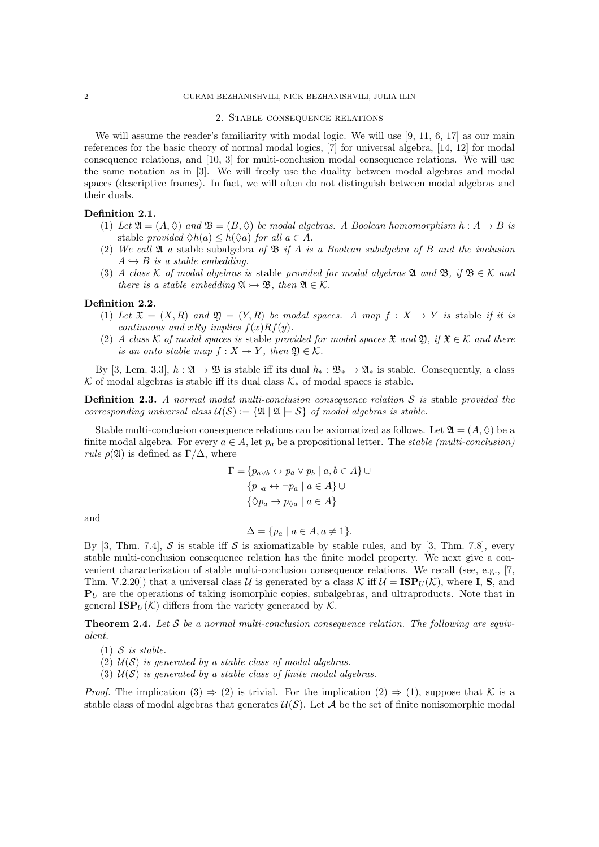# 2 GURAM BEZHANISHVILI, NICK BEZHANISHVILI, JULIA ILIN

#### 2. Stable consequence relations

We will assume the reader's familiarity with modal logic. We will use [9, 11, 6, 17] as our main references for the basic theory of normal modal logics, [7] for universal algebra, [14, 12] for modal consequence relations, and [10, 3] for multi-conclusion modal consequence relations. We will use the same notation as in [3]. We will freely use the duality between modal algebras and modal spaces (descriptive frames). In fact, we will often do not distinguish between modal algebras and their duals.

### Definition 2.1.

- (1) Let  $\mathfrak{A} = (A, \Diamond)$  and  $\mathfrak{B} = (B, \Diamond)$  be modal algebras. A Boolean homomorphism  $h : A \rightarrow B$  is stable *provided*  $\Diamond h(a) \leq h(\Diamond a)$  *for all*  $a \in A$ *.*
- (2) *We call* A *a* stable subalgebra *of* B *if A is a Boolean subalgebra of B and the inclusion*  $A \hookrightarrow B$  *is a stable embedding.*
- (3) *A class*  $K$  *of modal algebras is* stable *provided for modal algebras*  $\mathfrak{A}$  *and*  $\mathfrak{B}$ *, if*  $\mathfrak{B} \in K$  *and there is a stable embedding*  $\mathfrak{A} \rightarrow \mathfrak{B}$ *, then*  $\mathfrak{A} \in \mathcal{K}$ *.*

## Definition 2.2.

- (1) Let  $\mathfrak{X} = (X, R)$  and  $\mathfrak{Y} = (Y, R)$  be modal spaces. A map  $f : X \rightarrow Y$  is stable if it is *continuous and*  $xRu$  *<i>implies*  $f(x)Rf(y)$ .
- (2) *A class*  $K$  *of modal spaces is* stable *provided for modal spaces*  $\mathfrak{X}$  *and*  $\mathfrak{Y}$ *, if*  $\mathfrak{X} \in K$  *and there is an onto stable map*  $f: X \rightarrow Y$ *, then*  $\mathfrak{Y} \in \mathcal{K}$ *.*

By [3, Lem. 3.3],  $h : \mathfrak{A} \to \mathfrak{B}$  is stable iff its dual  $h_* : \mathfrak{B}_* \to \mathfrak{A}_*$  is stable. Consequently, a class  $K$  of modal algebras is stable iff its dual class  $K_*$  of modal spaces is stable.

Definition 2.3. *A normal modal multi-conclusion consequence relation S is* stable *provided the corresponding universal class*  $U(S) := \{ \mathfrak{A} \mid \mathfrak{A} \models S \}$  *of modal algebras is stable.* 

Stable multi-conclusion consequence relations can be axiomatized as follows. Let  $\mathfrak{A} = (A, \Diamond)$  be a finite modal algebra. For every  $a \in A$ , let  $p_a$  be a propositional letter. The *stable (multi-conclusion) rule*  $\rho(\mathfrak{A})$  is defined as  $\Gamma/\Delta$ , where

$$
\Gamma = \{ p_{a \lor b} \leftrightarrow p_a \lor p_b \mid a, b \in A \} \cup
$$

$$
\{ p_{\neg a} \leftrightarrow \neg p_a \mid a \in A \} \cup
$$

$$
\{ \Diamond p_a \to p_{\Diamond a} \mid a \in A \}
$$

and

$$
\Delta = \{ p_a \mid a \in A, a \neq 1 \}.
$$

By [3, Thm. 7.4],  $S$  is stable iff  $S$  is axiomatizable by stable rules, and by [3, Thm. 7.8], every stable multi-conclusion consequence relation has the finite model property. We next give a convenient characterization of stable multi-conclusion consequence relations. We recall (see, e.g., [7, Thm. V.2.20]) that a universal class *U* is generated by a class  $K$  iff  $U = \text{ISP}_U(K)$ , where **I**, **S**, and  $P_U$  are the operations of taking isomorphic copies, subalgebras, and ultraproducts. Note that in general  $\text{ISP}_U(\mathcal{K})$  differs from the variety generated by  $\mathcal{K}$ .

Theorem 2.4. *Let S be a normal multi-conclusion consequence relation. The following are equivalent.*

(1) *S is stable.*

- (2) *U*(*S*) *is generated by a stable class of modal algebras.*
- (3) *U*(*S*) *is generated by a stable class of finite modal algebras.*

*Proof.* The implication  $(3) \Rightarrow (2)$  is trivial. For the implication  $(2) \Rightarrow (1)$ , suppose that *K* is a stable class of modal algebras that generates  $\mathcal{U}(\mathcal{S})$ . Let  $\mathcal{A}$  be the set of finite nonisomorphic modal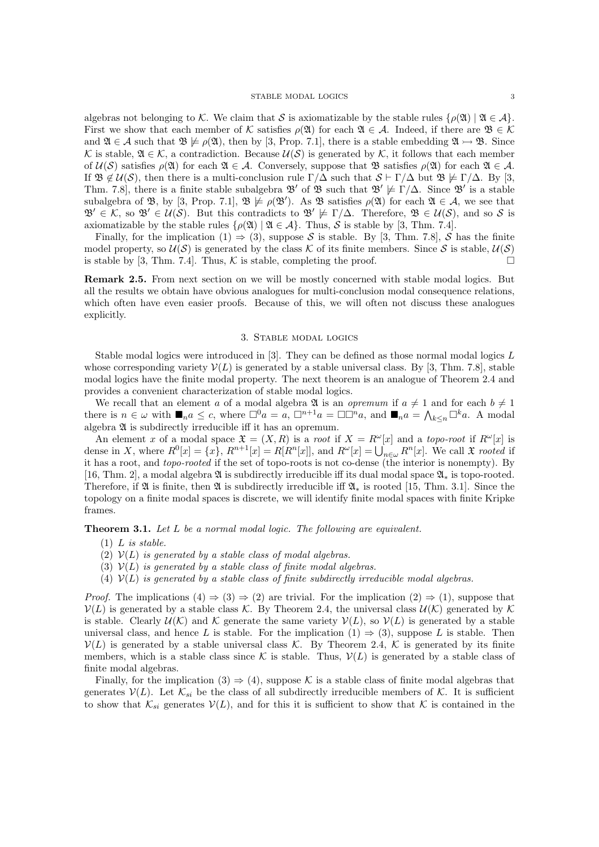algebras not belonging to *K*. We claim that *S* is axiomatizable by the stable rules  $\{\rho(\mathfrak{A}) \mid \mathfrak{A} \in \mathcal{A}\}\$ . First we show that each member of *K* satisfies  $\rho(\mathfrak{A})$  for each  $\mathfrak{A} \in \mathcal{A}$ . Indeed, if there are  $\mathfrak{B} \in \mathcal{K}$ and  $\mathfrak{A} \in \mathcal{A}$  such that  $\mathfrak{B} \not\models \rho(\mathfrak{A})$ , then by [3, Prop. 7.1], there is a stable embedding  $\mathfrak{A} \rightarrow \mathfrak{B}$ . Since  $K$  is stable,  $\mathfrak{A} \in \mathcal{K}$ , a contradiction. Because  $\mathcal{U}(\mathcal{S})$  is generated by  $\mathcal{K}$ , it follows that each member of  $\mathcal{U}(\mathcal{S})$  satisfies  $\rho(\mathfrak{A})$  for each  $\mathfrak{A} \in \mathcal{A}$ . Conversely, suppose that  $\mathfrak{B}$  satisfies  $\rho(\mathfrak{A})$  for each  $\mathfrak{A} \in \mathcal{A}$ . If  $\mathfrak{B} \notin \mathcal{U}(\mathcal{S})$ , then there is a multi-conclusion rule  $\Gamma/\Delta$  such that  $\mathcal{S} \vdash \Gamma/\Delta$  but  $\mathfrak{B} \not\models \Gamma/\Delta$ . By [3, Thm. 7.8], there is a finite stable subalgebra  $\mathfrak{B}'$  of  $\mathfrak{B}$  such that  $\mathfrak{B}' \not\models \Gamma/\Delta$ . Since  $\mathfrak{B}'$  is a stable subalgebra of  $\mathfrak{B}$ , by  $[3, Prop. 7.1], \mathfrak{B} \not\models \rho(\mathfrak{B}')$ . As  $\mathfrak{B}$  satisfies  $\rho(\mathfrak{A})$  for each  $\mathfrak{A} \in \mathcal{A}$ , we see that  $\mathfrak{B}' \in \mathcal{K}$ , so  $\mathfrak{B}' \in \mathcal{U}(\mathcal{S})$ . But this contradicts to  $\mathfrak{B}' \not\models \Gamma/\Delta$ . Therefore,  $\mathfrak{B} \in \mathcal{U}(\mathcal{S})$ , and so  $\mathcal{S}$  is axiomatizable by the stable rules  $\{\rho(\mathfrak{A}) \mid \mathfrak{A} \in \mathcal{A}\}\$ . Thus,  $\mathcal{S}$  is stable by [3, Thm. 7.4].

Finally, for the implication  $(1) \Rightarrow (3)$ , suppose *S* is stable. By [3, Thm. 7.8], *S* has the finite model property, so  $U(S)$  is generated by the class  $K$  of its finite members. Since  $S$  is stable,  $U(S)$  is stable by [3] Thus  $K$  is stable, completing the proof is stable by [3, Thm. 7.4]. Thus,  $K$  is stable, completing the proof.

Remark 2.5. From next section on we will be mostly concerned with stable modal logics. But all the results we obtain have obvious analogues for multi-conclusion modal consequence relations, which often have even easier proofs. Because of this, we will often not discuss these analogues explicitly.

#### 3. Stable modal logics

Stable modal logics were introduced in [3]. They can be defined as those normal modal logics *L* whose corresponding variety  $V(L)$  is generated by a stable universal class. By [3, Thm. 7.8], stable modal logics have the finite modal property. The next theorem is an analogue of Theorem 2.4 and provides a convenient characterization of stable modal logics.

We recall that an element *a* of a modal algebra  $\mathfrak{A}$  is an *opremum* if  $a \neq 1$  and for each  $b \neq 1$ there is  $n \in \omega$  with  $\blacksquare_n a \leq c$ , where  $\square^0 a = a$ ,  $\square^{n+1} a = \square \square^n a$ , and  $\square_n a = \bigwedge_{k \leq n} \square^k a$ . A modal algebra  $\mathfrak A$  is subdirectly irreducible iff it has an opremum.

An element *x* of a modal space  $\mathfrak{X} = (X, R)$  is a *root* if  $X = R^{\omega}[x]$  and a *topo-root* if  $R^{\omega}[x]$  is dense in X, where  $R^0[x] = \{x\}$ ,  $R^{n+1}[x] = R[R^n[x]]$ , and  $R^{\omega}[x] = \bigcup_{n \in \omega} R^n[x]$ . We call  $\mathfrak X$  rooted if it has a root, and *topo-rooted* if the set of topo-roots is not co-dense (the interior is nonempty). By [16, Thm. 2], a modal algebra  $\mathfrak A$  is subdirectly irreducible iff its dual modal space  $\mathfrak A_*$  is topo-rooted. Therefore, if  $\mathfrak A$  is finite, then  $\mathfrak A$  is subdirectly irreducible iff  $\mathfrak A_*$  is rooted [15, Thm. 3.1]. Since the topology on a finite modal spaces is discrete, we will identify finite modal spaces with finite Kripke frames.

Theorem 3.1. *Let L be a normal modal logic. The following are equivalent.*

- (1) *L is stable.*
- (2)  $V(L)$  *is generated by a stable class of modal algebras.*
- (3)  $V(L)$  *is generated by a stable class of finite modal algebras.*
- (4)  $V(L)$  *is generated by a stable class of finite subdirectly irreducible modal algebras.*

*Proof.* The implications  $(4) \Rightarrow (3) \Rightarrow (2)$  are trivial. For the implication  $(2) \Rightarrow (1)$ , suppose that  $V(L)$  is generated by a stable class *K*. By Theorem 2.4, the universal class  $U(K)$  generated by K is stable. Clearly  $\mathcal{U}(\mathcal{K})$  and  $\mathcal{K}$  generate the same variety  $\mathcal{V}(L)$ , so  $\mathcal{V}(L)$  is generated by a stable universal class, and hence *L* is stable. For the implication  $(1) \Rightarrow (3)$ , suppose *L* is stable. Then  $V(L)$  is generated by a stable universal class *K*. By Theorem 2.4, *K* is generated by its finite members, which is a stable class since  $K$  is stable. Thus,  $V(L)$  is generated by a stable class of finite modal algebras.

Finally, for the implication  $(3) \Rightarrow (4)$ , suppose K is a stable class of finite modal algebras that generates  $V(L)$ . Let  $K_{si}$  be the class of all subdirectly irreducible members of K. It is sufficient to show that  $\mathcal{K}_{si}$  generates  $\mathcal{V}(L)$ , and for this it is sufficient to show that  $\mathcal K$  is contained in the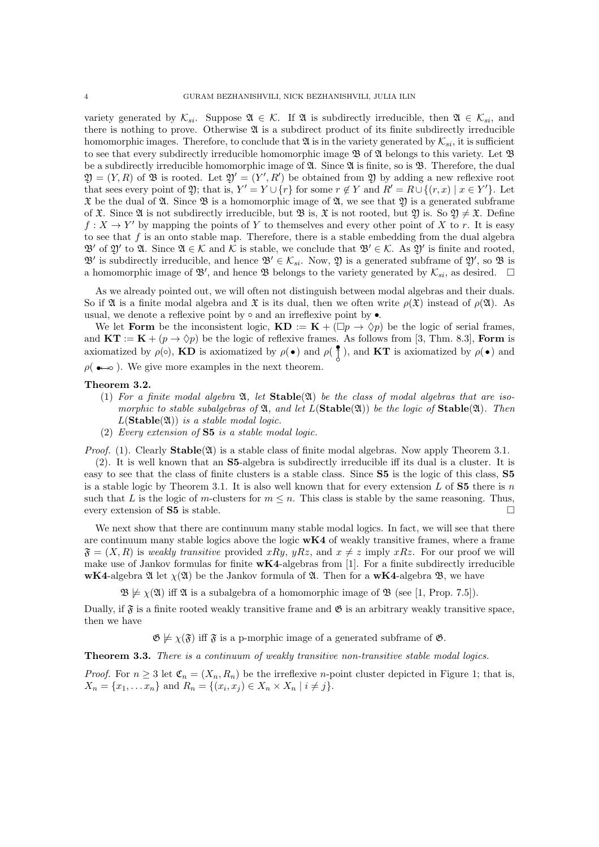variety generated by  $\mathcal{K}_{si}$ . Suppose  $\mathfrak{A} \in \mathcal{K}$ . If  $\mathfrak{A}$  is subdirectly irreducible, then  $\mathfrak{A} \in \mathcal{K}_{si}$ , and there is nothing to prove. Otherwise  $\mathfrak A$  is a subdirect product of its finite subdirectly irreducible homomorphic images. Therefore, to conclude that  $\mathfrak{A}$  is in the variety generated by  $\mathcal{K}_{si}$ , it is sufficient to see that every subdirectly irreducible homomorphic image  $\mathfrak{B}$  of  $\mathfrak{A}$  belongs to this variety. Let  $\mathfrak{B}$ be a subdirectly irreducible homomorphic image of  $\mathfrak{A}$ . Since  $\mathfrak{A}$  is finite, so is  $\mathfrak{B}$ . Therefore, the dual  $\mathfrak{Y} = (Y, R)$  of  $\mathfrak{B}$  is rooted. Let  $\mathfrak{Y}' = (Y', R')$  be obtained from  $\mathfrak{Y}$  by adding a new reflexive root that sees every point of  $\mathfrak{Y}$ ; that is,  $Y' = Y \cup \{r\}$  for some  $r \notin Y$  and  $R' = R \cup \{(r, x) \mid x \in Y'\}$ . Let  $\mathfrak X$  be the dual of  $\mathfrak A$ . Since  $\mathfrak B$  is a homomorphic image of  $\mathfrak A$ , we see that  $\mathfrak A$  is a generated subframe of  $\mathfrak X$ . Since  $\mathfrak A$  is not subdirectly irreducible, but  $\mathfrak B$  is,  $\mathfrak X$  is not rooted, but  $\mathfrak Y$  is. So  $\mathfrak Y \neq \mathfrak X$ . Define  $f: X \to Y'$  by mapping the points of *Y* to themselves and every other point of *X* to *r*. It is easy to see that *f* is an onto stable map. Therefore, there is a stable embedding from the dual algebra  $\mathfrak{B}'$  of  $\mathfrak{A}'$  to  $\mathfrak{A}$ . Since  $\mathfrak{A} \in \mathcal{K}$  and  $\mathcal{K}$  is stable, we conclude that  $\mathfrak{B}' \in \mathcal{K}$ . As  $\mathfrak{A}'$  is finite and rooted,  $\mathfrak{B}'$  is subdirectly irreducible, and hence  $\mathfrak{B}' \in \mathcal{K}_{si}$ . Now,  $\mathfrak{Y}$  is a generated subframe of  $\mathfrak{Y}'$ , so  $\mathfrak{B}$  is a homomorphic image of  $\mathfrak{B}'$ , and hence  $\mathfrak{B}$  belongs to the variety generated by  $\mathcal{K}_{si}$ , as desired.  $\Box$ 

As we already pointed out, we will often not distinguish between modal algebras and their duals. So if  $\mathfrak A$  is a finite modal algebra and  $\mathfrak X$  is its dual, then we often write  $\rho(\mathfrak X)$  instead of  $\rho(\mathfrak A)$ . As usual, we denote a reflexive point by  $\circ$  and an irreflexive point by  $\bullet$ .

We let **Form** be the inconsistent logic,  $KD := K + (\Box p \rightarrow \Diamond p)$  be the logic of serial frames, and  $KT := K + (p \to \Diamond p)$  be the logic of reflexive frames. As follows from [3, Thm. 8.3], Form is axiomatized by  $\rho(\circ)$ , KD is axiomatized by  $\rho(\bullet)$  and  $\rho(\frac{\bullet}{\lambda})$ , and KT is axiomatized by  $\rho(\bullet)$  and  $\rho(\bullet\rightarrow\infty)$ . We give more examples in the next theorem.

#### Theorem 3.2.

- (1) *For a finite modal algebra* A*, let* Stable(A) *be the class of modal algebras that are isomorphic to stable subalgebras of*  $\mathfrak{A}$ *, and let*  $L(\text{Stable}(\mathfrak{A}))$  *be the logic of*  $\text{Stable}(\mathfrak{A})$ *. Then*  $L(\text{Stable}(\mathfrak{A}))$  *is a stable modal logic.*
- (2) *Every extension of* S5 *is a stable modal logic.*

*Proof.* (1). Clearly  $\text{Stable}(\mathfrak{A})$  is a stable class of finite modal algebras. Now apply Theorem 3.1.

 $(2)$ . It is well known that an **S5**-algebra is subdirectly irreducible iff its dual is a cluster. It is easy to see that the class of finite clusters is a stable class. Since S5 is the logic of this class, S5 is a stable logic by Theorem 3.1. It is also well known that for every extension *L* of S5 there is *n* such that *L* is the logic of *m*-clusters for  $m \leq n$ . This class is stable by the same reasoning. Thus, every extension of **S5** is stable. every extension of  $S5$  is stable.

We next show that there are continuum many stable modal logics. In fact, we will see that there are continuum many stable logics above the logic  $wK4$  of weakly transitive frames, where a frame  $\mathfrak{F} = (X, R)$  is *weakly transitive* provided *xRy*, *yRz*, and  $x \neq z$  imply *xRz*. For our proof we will make use of Jankov formulas for finite  $wK4$ -algebras from [1]. For a finite subdirectly irreducible wK4-algebra  $\mathfrak A$  let  $\chi(\mathfrak A)$  be the Jankov formula of  $\mathfrak A$ . Then for a wK4-algebra  $\mathfrak B$ , we have

 $\mathfrak{B} \not\models \chi(\mathfrak{A})$  iff  $\mathfrak{A}$  is a subalgebra of a homomorphic image of  $\mathfrak{B}$  (see [1, Prop. 7.5]).

Dually, if  $\mathfrak{F}$  is a finite rooted weakly transitive frame and  $\mathfrak{G}$  is an arbitrary weakly transitive space, then we have

 $\mathfrak{G} \not\models \chi(\mathfrak{F})$  iff  $\mathfrak{F}$  is a p-morphic image of a generated subframe of  $\mathfrak{G}$ .

Theorem 3.3. *There is a continuum of weakly transitive non-transitive stable modal logics.*

*Proof.* For  $n \geq 3$  let  $\mathfrak{C}_n = (X_n, R_n)$  be the irreflexive *n*-point cluster depicted in Figure 1; that is,  $X_n = \{x_1, \ldots, x_n\}$  and  $R_n = \{(x_i, x_j) \in X_n \times X_n \mid i \neq j\}.$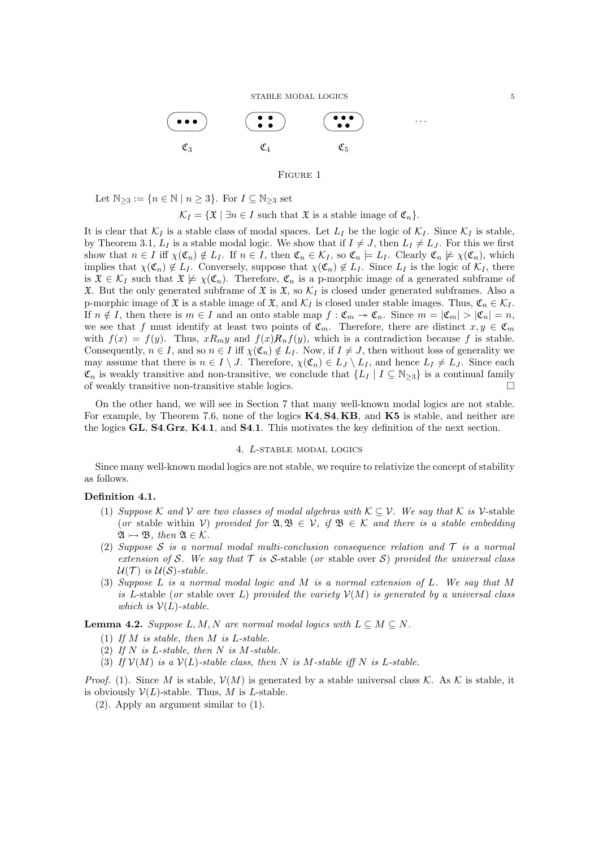STABLE MODAL LOGICS 5



### Figure 1

Let  $\mathbb{N}_{\geq 3} := \{ n \in \mathbb{N} \mid n \geq 3 \}$ . For  $I \subseteq \mathbb{N}_{\geq 3}$  set

$$
\mathcal{K}_I = \{ \mathfrak{X} \mid \exists n \in I \text{ such that } \mathfrak{X} \text{ is a stable image of } \mathfrak{C}_n \}.
$$

It is clear that  $K_I$  is a stable class of modal spaces. Let  $L_I$  be the logic of  $K_I$ . Since  $K_I$  is stable, by Theorem 3.1,  $L_I$  is a stable modal logic. We show that if  $I \neq J$ , then  $L_I \neq L_J$ . For this we first show that  $n \in I$  iff  $\chi(\mathfrak{C}_n) \notin L_I$ . If  $n \in I$ , then  $\mathfrak{C}_n \in \mathcal{K}_I$ , so  $\mathfrak{C}_n \models L_I$ . Clearly  $\mathfrak{C}_n \not\models \chi(\mathfrak{C}_n)$ , which implies that  $\chi(\mathfrak{C}_n) \notin L_I$ . Conversely, suppose that  $\chi(\mathfrak{C}_n) \notin L_I$ . Since  $L_I$  is the logic of  $\mathcal{K}_I$ , there is  $\mathfrak{X} \in \mathcal{K}_I$  such that  $\mathfrak{X} \not\models \chi(\mathfrak{C}_n)$ . Therefore,  $\mathfrak{C}_n$  is a p-morphic image of a generated subframe of  $\mathfrak X$ . But the only generated subframe of  $\mathfrak X$  is  $\mathfrak X$ , so  $\mathcal K_I$  is closed under generated subframes. Also a p-morphic image of  $\mathfrak{X}$  is a stable image of  $\mathfrak{X}$ , and  $\mathcal{K}_I$  is closed under stable images. Thus,  $\mathfrak{C}_n \in \mathcal{K}_I$ . If  $n \notin I$ , then there is  $m \in I$  and an onto stable map  $f : \mathfrak{C}_m \to \mathfrak{C}_n$ . Since  $m = |\mathfrak{C}_m| > |\mathfrak{C}_n| = n$ , we see that *f* must identify at least two points of  $\mathfrak{C}_m$ . Therefore, there are distinct  $x, y \in \mathfrak{C}_m$ with  $f(x) = f(y)$ . Thus,  $xR_my$  and  $f(x)R_nf(y)$ , which is a contradiction because f is stable. Consequently,  $n \in I$ , and so  $n \in I$  iff  $\chi(\mathfrak{C}_n) \notin L_I$ . Now, if  $I \neq J$ , then without loss of generality we may assume that there is  $n \in I \setminus J$ . Therefore,  $\chi(\mathfrak{C}_n) \in L_J \setminus L_I$ , and hence  $L_I \neq L_J$ . Since each  $\mathfrak{C}_n$  is weakly transitive and non-transitive, we conclude that  $\{L_I \mid I \subseteq \mathbb{N}_{\geq 3}\}$  is a continual family of weakly transitive non-transitive stable logics. of weakly transitive non-transitive stable logics.

On the other hand, we will see in Section 7 that many well-known modal logics are not stable. For example, by Theorem 7.6, none of the logics K4*,* S4*,* KB, and K5 is stable, and neither are the logics GL, S4*.*Grz, K4*.*1, and S4*.*1. This motivates the key definition of the next section.

### 4. *L*-stable modal logics

Since many well-known modal logics are not stable, we require to relativize the concept of stability as follows.

#### Definition 4.1.

- (1) *Suppose*  $K$  *and*  $V$  *are two classes of modal algebras with*  $K \subseteq V$ *. We say that*  $K$  *is*  $V$ -stable (*or* stable within *V*) *provided for*  $\mathfrak{A}, \mathfrak{B} \in V$ *, if*  $\mathfrak{B} \in \mathcal{K}$  *and there is a stable embedding*  $\mathfrak{A} \rightarrow \mathfrak{B}$ *, then*  $\mathfrak{A} \in \mathcal{K}$ *.*
- (2) *Suppose S is a normal modal multi-conclusion consequence relation and T is a normal extension of S. We say that*  $T$  *is S*-stable (*or* stable over *S*) *provided the universal class*  $U(T)$  *is*  $U(S)$ -stable.
- (3) *Suppose L is a normal modal logic and M is a normal extension of L. We say that M is L*-stable (*or* stable over *L*) *provided the variety*  $V(M)$  *is generated by a universal class which is*  $V(L)$ *-stable.*

**Lemma 4.2.** *Suppose*  $L, M, N$  *are normal modal logics with*  $L \subseteq M \subseteq N$ *.* 

- (1) *If M is stable, then M is L-stable.*
- (2) *If N is L-stable, then N is M-stable.*
- (3) If  $V(M)$  is a  $V(L)$ -stable class, then N is M-stable iff N is L-stable.

*Proof.* (1). Since *M* is stable,  $V(M)$  is generated by a stable universal class *K*. As *K* is stable, it is obviously  $V(L)$ -stable. Thus, M is L-stable.

(2). Apply an argument similar to (1).

*...*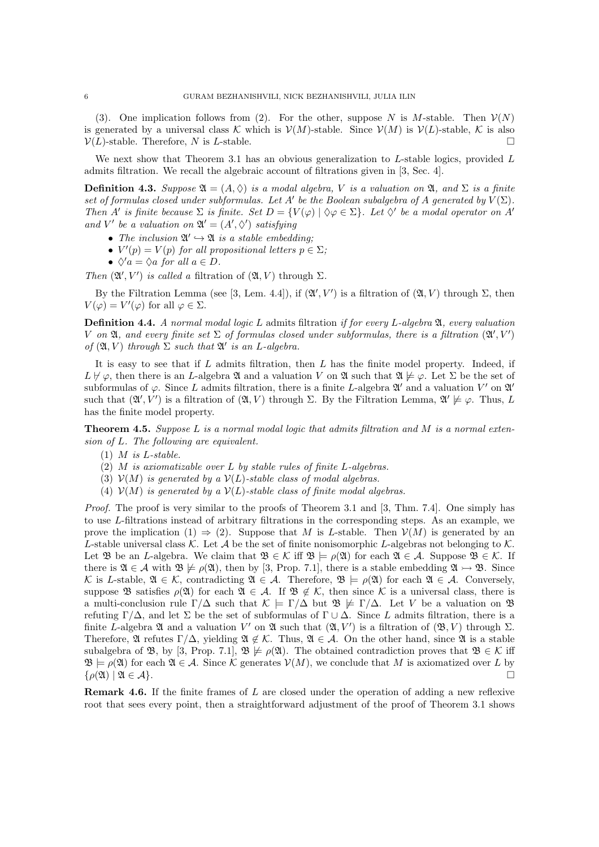(3). One implication follows from (2). For the other, suppose *N* is *M*-stable. Then  $\mathcal{V}(N)$ is generated by a universal class *K* which is  $V(M)$ -stable. Since  $V(M)$  is  $V(L)$ -stable, *K* is also  $V(L)$ -stable. Therefore, *N* is *L*-stable.  $V(L)$ -stable. Therefore, *N* is *L*-stable.

We next show that Theorem 3.1 has an obvious generalization to *L*-stable logics, provided *L* admits filtration. We recall the algebraic account of filtrations given in [3, Sec. 4].

**Definition 4.3.** Suppose  $\mathfrak{A} = (A, \Diamond)$  *is a modal algebra, V is a valuation on*  $\mathfrak{A}$ *, and*  $\Sigma$  *is a finite set of formulas closed under subformulas. Let*  $A'$  be the Boolean subalgebra of  $A$  generated by  $V(\Sigma)$ . *Then A*<sup>*i*</sup> *is finite because*  $\Sigma$  *is finite. Set*  $D = \{V(\varphi) \mid \Diamond \varphi \in \Sigma\}$ *. Let*  $\Diamond'$  *be a modal operator on A<sup>'</sup> and*  $V'$  *be a valuation on*  $\mathfrak{A}' = (A', \Diamond')$  *satisfying* 

- *The inclusion*  $\mathfrak{A}' \hookrightarrow \mathfrak{A}$  *is a stable embedding:*
- $V'(p) = V(p)$  *for all propositional letters*  $p \in \Sigma$ *;*
- $\Diamond$ <sup>*'a*</sup> =  $\Diamond$ *a for all a*  $\in$  *D.*

*Then*  $(\mathfrak{A}', V')$  *is called a* filtration of  $(\mathfrak{A}, V)$  through  $\Sigma$ .

By the Filtration Lemma (see [3, Lem. 4.4]), if  $(\mathfrak{A}', V')$  is a filtration of  $(\mathfrak{A}, V)$  through  $\Sigma$ , then  $V(\varphi) = V'(\varphi)$  for all  $\varphi \in \Sigma$ .

Definition 4.4. *A normal modal logic L* admits filtration *if for every L-algebra* A*, every valuation V* on  $\mathfrak{A}$ , and every finite set  $\Sigma$  of formulas closed under subformulas, there is a filtration  $(\mathfrak{A}', V')$ *of*  $(\mathfrak{A}, V)$  *through*  $\Sigma$  *such that*  $\mathfrak{A}'$  *is an L-algebra.* 

It is easy to see that if *L* admits filtration, then *L* has the finite model property. Indeed, if  $L \not\vdash \varphi$ , then there is an *L*-algebra  $\mathfrak A$  and a valuation *V* on  $\mathfrak A$  such that  $\mathfrak A \not\models \varphi$ . Let  $\Sigma$  be the set of subformulas of  $\varphi$ . Since *L* admits filtration, there is a finite *L*-algebra  $\mathfrak{A}'$  and a valuation *V'* on  $\mathfrak{A}'$ such that  $(\mathfrak{A}', V')$  is a filtration of  $(\mathfrak{A}, V)$  through  $\Sigma$ . By the Filtration Lemma,  $\mathfrak{A}' \not\models \varphi$ . Thus, *L* has the finite model property.

Theorem 4.5. *Suppose L is a normal modal logic that admits filtration and M is a normal extension of L. The following are equivalent.*

- (1) *M is L-stable.*
- (2) *M is axiomatizable over L by stable rules of finite L-algebras.*
- (3)  $V(M)$  *is generated by a*  $V(L)$ -stable class of modal algebras.
- (4)  $V(M)$  *is generated by a*  $V(L)$ -stable class of finite modal algebras.

*Proof.* The proof is very similar to the proofs of Theorem 3.1 and [3, Thm. 7.4]. One simply has to use *L*-filtrations instead of arbitrary filtrations in the corresponding steps. As an example, we prove the implication (1)  $\Rightarrow$  (2). Suppose that *M* is *L*-stable. Then  $V(M)$  is generated by an *L*-stable universal class  $K$ . Let  $A$  be the set of finite nonisomorphic *L*-algebras not belonging to  $K$ . Let  $\mathfrak{B}$  be an *L*-algebra. We claim that  $\mathfrak{B} \in \mathcal{K}$  iff  $\mathfrak{B} \models \rho(\mathfrak{A})$  for each  $\mathfrak{A} \in \mathcal{A}$ . Suppose  $\mathfrak{B} \in \mathcal{K}$ . If there is  $\mathfrak{A} \in \mathcal{A}$  with  $\mathfrak{B} \not\models \rho(\mathfrak{A})$ , then by [3, Prop. 7.1], there is a stable embedding  $\mathfrak{A} \rightarrow \mathfrak{B}$ . Since *K* is *L*-stable,  $\mathfrak{A} \in \mathcal{K}$ , contradicting  $\mathfrak{A} \in \mathcal{A}$ . Therefore,  $\mathfrak{B} \models \rho(\mathfrak{A})$  for each  $\mathfrak{A} \in \mathcal{A}$ . Conversely, suppose  $\mathfrak{B}$  satisfies  $\rho(\mathfrak{A})$  for each  $\mathfrak{A} \in \mathcal{A}$ . If  $\mathfrak{B} \notin \mathcal{K}$ , then since  $\mathcal{K}$  is a universal class, there is a multi-conclusion rule  $\Gamma/\Delta$  such that  $K \models \Gamma/\Delta$  but  $\mathfrak{B} \not\models \Gamma/\Delta$ . Let *V* be a valuation on  $\mathfrak{B}$ refuting  $\Gamma/\Delta$ , and let  $\Sigma$  be the set of subformulas of  $\Gamma \cup \Delta$ . Since *L* admits filtration, there is a finite L-algebra  $\mathfrak A$  and a valuation  $V'$  on  $\mathfrak A$  such that  $(\mathfrak A, V')$  is a filtration of  $(\mathfrak B, V)$  through  $\Sigma$ . Therefore,  $\mathfrak A$  refutes  $\Gamma/\Delta$ , yielding  $\mathfrak A \notin \mathcal K$ . Thus,  $\mathfrak A \in \mathcal A$ . On the other hand, since  $\mathfrak A$  is a stable subalgebra of  $\mathfrak{B}$ , by [3, Prop. 7.1],  $\mathfrak{B} \not\models \rho(\mathfrak{A})$ . The obtained contradiction proves that  $\mathfrak{B} \in \mathcal{K}$  iff  $\mathfrak{B} \models \rho(\mathfrak{A})$  for each  $\mathfrak{A} \in \mathcal{A}$ . Since  $\mathcal{K}$  generates  $\mathcal{V}(M)$ , we conclude that  $M$  is axiomatized over  $L$  by  $\{o(\mathfrak{A}) \mid \mathfrak{A} \in \mathcal{A}\}\$  $\{\rho(\mathfrak{A}) \mid \mathfrak{A} \in \mathcal{A}\}.$ 

Remark 4.6. If the finite frames of *L* are closed under the operation of adding a new reflexive root that sees every point, then a straightforward adjustment of the proof of Theorem 3.1 shows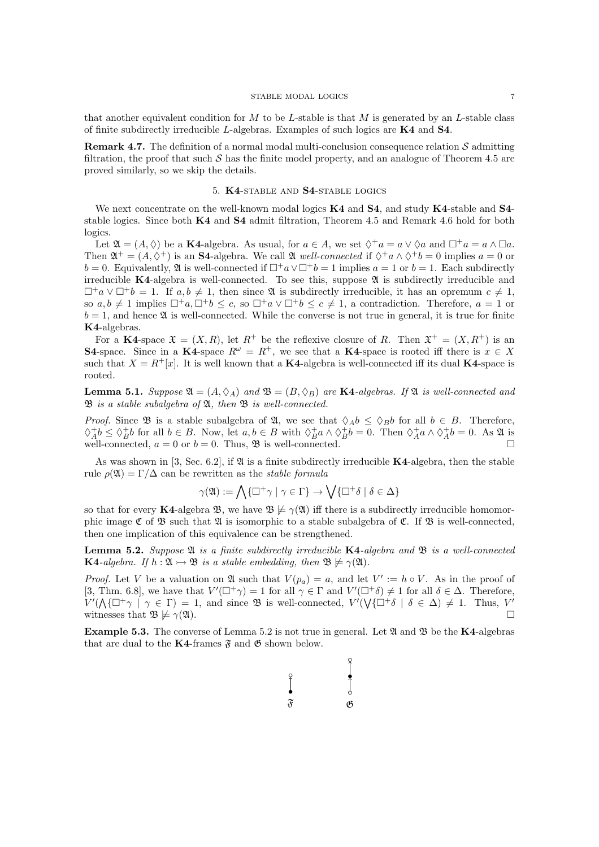that another equivalent condition for *M* to be *L*-stable is that *M* is generated by an *L*-stable class of finite subdirectly irreducible *L*-algebras. Examples of such logics are K4 and S4.

Remark 4.7. The definition of a normal modal multi-conclusion consequence relation *S* admitting filtration, the proof that such  $S$  has the finite model property, and an analogue of Theorem 4.5 are proved similarly, so we skip the details.

### 5. K4-stable and S4-stable logics

We next concentrate on the well-known modal logics  $K4$  and  $S4$ , and study  $K4$ -stable and  $S4$ stable logics. Since both K4 and S4 admit filtration, Theorem 4.5 and Remark 4.6 hold for both logics.

Let  $\mathfrak{A} = (A, \Diamond)$  be a **K4**-algebra. As usual, for  $a \in A$ , we set  $\Diamond^+ a = a \lor \Diamond a$  and  $\Box^+ a = a \land \Box a$ . Then  $\mathfrak{A}^+ = (A, \Diamond^+)$  is an **S4**-algebra. We call  $\mathfrak{A}$  *well-connected* if  $\Diamond^+ a \land \Diamond^+ b = 0$  implies  $a = 0$  or *b* = 0. Equivalently,  $\mathfrak{A}$  is well-connected if  $\Box^+ a \vee \Box^+ b = 1$  implies  $a = 1$  or  $b = 1$ . Each subdirectly irreducible  $K4$ -algebra is well-connected. To see this, suppose  $\mathfrak A$  is subdirectly irreducible and  $\Box^+a \vee \Box^+b = 1$ . If  $a, b \neq 1$ , then since  $\mathfrak A$  is subdirectly irreducible, it has an opremum  $c \neq 1$ , so  $a, b \neq 1$  implies  $\Box^+a, \Box^+b \leq c$ , so  $\Box^+a \vee \Box^+b \leq c \neq 1$ , a contradiction. Therefore,  $a = 1$  or  $b = 1$ , and hence  $\mathfrak A$  is well-connected. While the converse is not true in general, it is true for finite K4-algebras.

For a K4-space  $\mathfrak{X} = (X, R)$ , let  $R^+$  be the reflexive closure of R. Then  $\mathfrak{X}^+ = (X, R^+)$  is an S4-space. Since in a K4-space  $R^{\omega} = R^{+}$ , we see that a K4-space is rooted iff there is  $x \in X$ such that  $X = R^+[x]$ . It is well known that a K4-algebra is well-connected iff its dual K4-space is rooted.

**Lemma 5.1.** *Suppose*  $\mathfrak{A} = (A, \Diamond_A)$  *and*  $\mathfrak{B} = (B, \Diamond_B)$  *are* **K4**-algebras. If  $\mathfrak{A}$  *is well-connected and* B *is a stable subalgebra of* A*, then* B *is well-connected.*

*Proof.* Since  $\mathfrak{B}$  is a stable subalgebra of  $\mathfrak{A}$ , we see that  $\Diamond_A b \leq \Diamond_B b$  for all  $b \in B$ . Therefore,  $\Diamond_A^+ b \leq \Diamond_B^+ b$  for all  $b \in B$ . Now, let  $a, b \in B$  with  $\Diamond_B^+ a \land \Diamond_B^+ b = 0$ . Then  $\Diamond_A^+ a \land \Diamond_A^+ b = 0$ . As  $\mathfrak A$  is well-connected,  $a = 0$  or  $b = 0$ . Thus,  $\mathfrak{B}$  is well-connected.  $\Box$ 

As was shown in [3, Sec. 6.2], if  $\mathfrak A$  is a finite subdirectly irreducible **K4**-algebra, then the stable rule  $\rho(\mathfrak{A}) = \Gamma/\Delta$  can be rewritten as the *stable formula* 

$$
\gamma({\mathfrak A}):=\bigwedge\{\Box^+\gamma\mid\gamma\in\Gamma\}\to\bigvee\{\Box^+\delta\mid\delta\in\Delta\}
$$

so that for every K4-algebra  $\mathfrak{B}$ , we have  $\mathfrak{B} \not\models \gamma(\mathfrak{A})$  iff there is a subdirectly irreducible homomorphic image  $\mathfrak C$  of  $\mathfrak B$  such that  $\mathfrak A$  is isomorphic to a stable subalgebra of  $\mathfrak C$ . If  $\mathfrak B$  is well-connected, then one implication of this equivalence can be strengthened.

Lemma 5.2. *Suppose* A *is a finite subdirectly irreducible* K4*-algebra and* B *is a well-connected* **K4**-algebra. If  $h : \mathfrak{A} \rightarrow \mathfrak{B}$  is a stable embedding, then  $\mathfrak{B} \not\models \gamma(\mathfrak{A})$ .

*Proof.* Let *V* be a valuation on  $\mathfrak A$  such that  $V(p_a) = a$ , and let  $V' := h \circ V$ . As in the proof of [3, Thm. 6.8], we have that  $V'(\Box^+\gamma) = 1$  for all  $\gamma \in \Gamma$  and  $V'(\Box^+\delta) \neq 1$  for all  $\delta \in \Delta$ . Therefore,  $V'(\Lambda{\{\Box^+\gamma \mid \gamma \in \Gamma\}}) = 1$ , and since  $\mathfrak B$  is well-connected,  $V'(\Lambda{\{\Box^+\delta \mid \delta \in \Delta\}}) \neq 1$ . Thus,  $V'$ witnesses that  $\mathfrak{B} \not\models \gamma(\mathfrak{A}).$ 

**Example 5.3.** The converse of Lemma 5.2 is not true in general. Let  $\mathfrak A$  and  $\mathfrak B$  be the K4-algebras that are dual to the K4-frames  $\mathfrak{F}$  and  $\mathfrak{G}$  shown below.

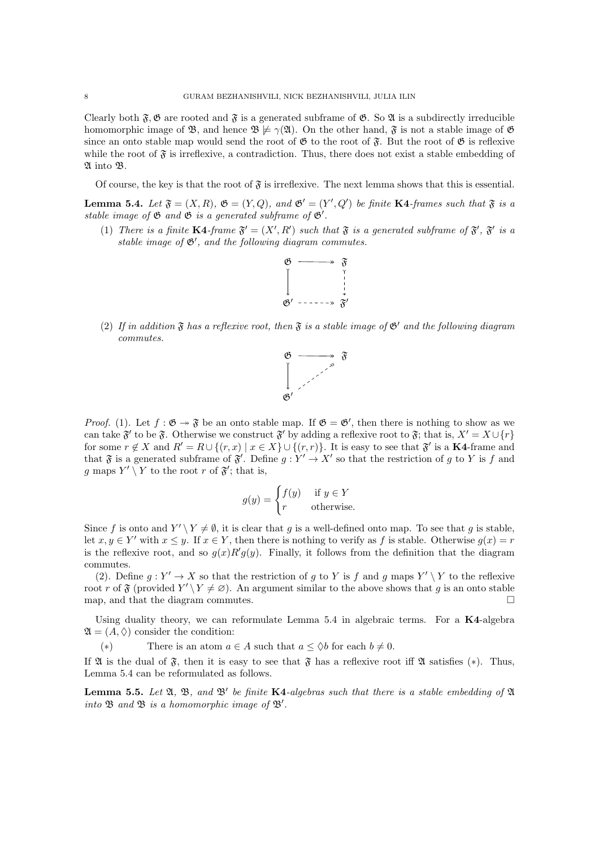Clearly both  $\tilde{\mathfrak{F}}$ ,  $\mathfrak{G}$  are rooted and  $\tilde{\mathfrak{F}}$  is a generated subframe of  $\mathfrak{G}$ . So  $\mathfrak{A}$  is a subdirectly irreducible homomorphic image of  $\mathfrak{B}$ , and hence  $\mathfrak{B} \not\models \gamma(\mathfrak{A})$ . On the other hand,  $\mathfrak{F}$  is not a stable image of  $\mathfrak{G}$ since an onto stable map would send the root of  $\mathfrak{G}$  to the root of  $\mathfrak{F}$ . But the root of  $\mathfrak{G}$  is reflexive while the root of  $\mathfrak{F}$  is irreflexive, a contradiction. Thus, there does not exist a stable embedding of A into B.

Of course, the key is that the root of  $\mathfrak{F}$  is irreflexive. The next lemma shows that this is essential.

**Lemma 5.4.** Let  $\mathfrak{F} = (X, R)$ ,  $\mathfrak{G} = (Y, Q)$ , and  $\mathfrak{G}' = (Y', Q')$  be finite K4-frames such that  $\mathfrak{F}$  is a stable image of  $\mathfrak G$  and  $\mathfrak G$  is a generated subframe of  $\mathfrak G'$ .

(1) There is a finite  $K4$ -frame  $\mathfrak{F}' = (X', R')$  such that  $\mathfrak{F}$  is a generated subframe of  $\mathfrak{F}', \mathfrak{F}'$  is a stable image of  $\mathfrak{G}'$ , and the following diagram commutes.



(2) If in addition  $\mathfrak F$  has a reflexive root, then  $\mathfrak F$  is a stable image of  $\mathfrak G'$  and the following diagram *commutes.*



*Proof.* (1). Let  $f : \mathfrak{G} \to \mathfrak{F}$  be an onto stable map. If  $\mathfrak{G} = \mathfrak{G}'$ , then there is nothing to show as we can take  $\mathfrak{F}'$  to be  $\mathfrak{F}$ . Otherwise we construct  $\mathfrak{F}'$  by adding a reflexive root to  $\mathfrak{F}$ ; that is,  $X' = X \cup \{r\}$ for some  $r \notin X$  and  $R' = R \cup \{(r, x) | x \in X\} \cup \{(r, r)\}\)$ . It is easy to see that  $\mathfrak{F}'$  is a K4-frame and that  $\mathfrak{F}$  is a generated subframe of  $\mathfrak{F}'$ . Define  $g: Y' \to X'$  so that the restriction of  $g$  to  $Y$  is  $f$  and g maps  $Y' \setminus Y$  to the root r of  $\mathfrak{F}'$ ; that is,

$$
g(y) = \begin{cases} f(y) & \text{if } y \in Y \\ r & \text{otherwise.} \end{cases}
$$

Since f is onto and  $Y' \ Y \neq \emptyset$ , it is clear that g is a well-defined onto map. To see that g is stable, let  $x, y \in Y'$  with  $x \leq y$ . If  $x \in Y$ , then there is nothing to verify as f is stable. Otherwise  $g(x) = r$ is the reflexive root, and so  $g(x)R'g(y)$ . Finally, it follows from the definition that the diagram commutes.

(2). Define  $g: Y' \to X$  so that the restriction of  $g$  to  $Y$  is  $f$  and  $g$  maps  $Y' \setminus Y$  to the reflexive root *r* of  $\mathfrak{F}$  (provided  $Y' \setminus Y \neq \emptyset$ ). An argument similar to the above shows that *g* is an onto stable map, and that the diagram commutes map, and that the diagram commutes.

Using duality theory, we can reformulate Lemma  $5.4$  in algebraic terms. For a  $K4$ -algebra  $\mathfrak{A} = (A, \Diamond)$  consider the condition:

(\*) There is an atom  $a \in A$  such that  $a \leq \Diamond b$  for each  $b \neq 0$ .

If  $\mathfrak A$  is the dual of  $\mathfrak F$ , then it is easy to see that  $\mathfrak F$  has a reflexive root iff  $\mathfrak A$  satisfies (\*). Thus, Lemma 5.4 can be reformulated as follows.

**Lemma 5.5.** Let  $\mathfrak{A}, \mathfrak{B},$  and  $\mathfrak{B}'$  be finite **K4**-algebras such that there is a stable embedding of  $\mathfrak{A}$ into  $\mathfrak B$  and  $\mathfrak B$  is a homomorphic image of  $\mathfrak B'$ .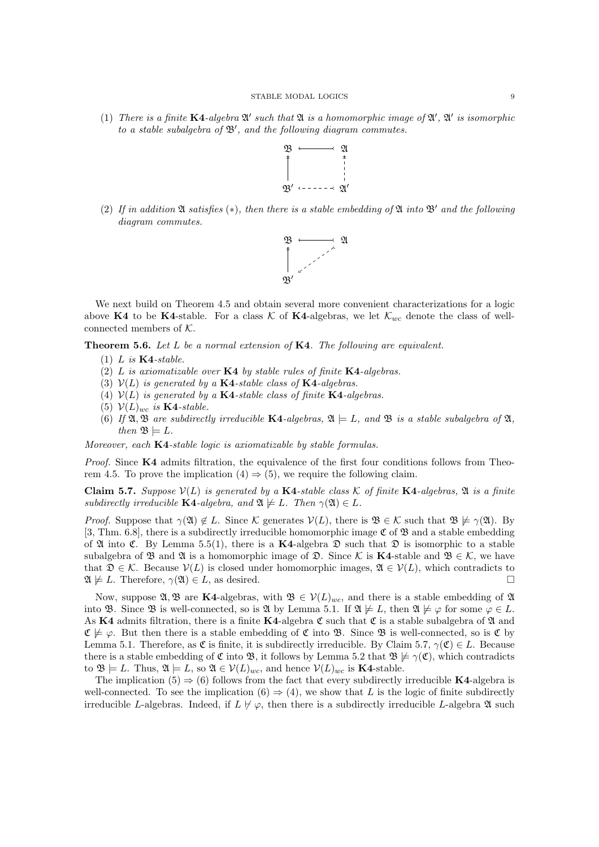(1) There is a finite  $K4$ -algebra  $\mathfrak{A}'$  such that  $\mathfrak{A}$  is a homomorphic image of  $\mathfrak{A}', \mathfrak{A}'$  is isomorphic *to a stable subalgebra of*  $\mathfrak{B}'$ , and the following diagram commutes.



(2) If in addition  $\mathfrak A$  satisfies  $(*)$ *, then there is a stable embedding of*  $\mathfrak A$  *into*  $\mathfrak B'$  *and the following diagram commutes.*



We next build on Theorem 4.5 and obtain several more convenient characterizations for a logic above K4 to be K4-stable. For a class  $K$  of K4-algebras, we let  $K_{wc}$  denote the class of wellconnected members of *K*.

Theorem 5.6. *Let L be a normal extension of* K4*. The following are equivalent.*

- (1) *L is* K4*-stable.*
- (2) *L is axiomatizable over* K4 *by stable rules of finite* K4*-algebras.*
- (3)  $V(L)$  *is generated by a* **K4**-stable class of **K4**-algebras.
- (4)  $V(L)$  *is generated by a* **K4**-stable class of finite **K4**-algebras.
- (5)  $\mathcal{V}(L)_{wc}$  *is* **K4**-stable.
- (6) If  $\mathfrak{A}, \mathfrak{B}$  are subdirectly irreducible K4-algebras,  $\mathfrak{A} \models L$ , and  $\mathfrak{B}$  is a stable subalgebra of  $\mathfrak{A},$ *then*  $\mathfrak{B} \models L$ *.*

*Moreover, each* K4*-stable logic is axiomatizable by stable formulas.*

*Proof.* Since **K4** admits filtration, the equivalence of the first four conditions follows from Theorem 4.5. To prove the implication  $(4) \Rightarrow (5)$ , we require the following claim.

**Claim 5.7.** Suppose  $V(L)$  is generated by a K4-stable class K of finite K4-algebras,  $\mathfrak{A}$  is a finite *subdirectly irreducible* **K4**-algebra, and  $\mathfrak{A} \not\models L$ *. Then*  $\gamma(\mathfrak{A}) \in L$ *.* 

*Proof.* Suppose that  $\gamma(\mathfrak{A}) \notin L$ . Since *K* generates  $\mathcal{V}(L)$ , there is  $\mathfrak{B} \in \mathcal{K}$  such that  $\mathfrak{B} \not\models \gamma(\mathfrak{A})$ . By [3, Thm. 6.8], there is a subdirectly irreducible homomorphic image  $\mathfrak{C}$  of  $\mathfrak{B}$  and a stable embedding of  $\mathfrak A$  into  $\mathfrak C$ . By Lemma 5.5(1), there is a K4-algebra  $\mathfrak D$  such that  $\mathfrak D$  is isomorphic to a stable subalgebra of  $\mathfrak{B}$  and  $\mathfrak{A}$  is a homomorphic image of  $\mathfrak{D}$ . Since K is **K4**-stable and  $\mathfrak{B} \in \mathcal{K}$ , we have that  $\mathfrak{D} \in \mathcal{K}$ . Because  $\mathcal{V}(L)$  is closed under homomorphic images,  $\mathfrak{A} \in \mathcal{V}(L)$ , which contradicts to  $\mathfrak{A} \not\models L$ . Therefore,  $\gamma(\mathfrak{A}) \in L$  as desired.  $\mathfrak{A} \not\models L$ . Therefore,  $\gamma(\mathfrak{A}) \in L$ , as desired.

Now, suppose  $\mathfrak{A}, \mathfrak{B}$  are K4-algebras, with  $\mathfrak{B} \in \mathcal{V}(L)_{wc}$ , and there is a stable embedding of  $\mathfrak{A}$ into B. Since B is well-connected, so is  $\mathfrak{A}$  by Lemma 5.1. If  $\mathfrak{A} \not\models L$ , then  $\mathfrak{A} \not\models \varphi$  for some  $\varphi \in L$ . As K4 admits filtration, there is a finite K4-algebra  $\mathfrak C$  such that  $\mathfrak C$  is a stable subalgebra of  $\mathfrak A$  and  $\mathfrak{C} \not\models \varphi$ . But then there is a stable embedding of  $\mathfrak{C}$  into  $\mathfrak{B}$ . Since  $\mathfrak{B}$  is well-connected, so is  $\mathfrak{C}$  by Lemma 5.1. Therefore, as  $\mathfrak C$  is finite, it is subdirectly irreducible. By Claim 5.7,  $\gamma(\mathfrak C) \in L$ . Because there is a stable embedding of  $\mathfrak{C}$  into  $\mathfrak{B}$ , it follows by Lemma 5.2 that  $\mathfrak{B} \not\models \gamma(\mathfrak{C})$ , which contradicts to  $\mathfrak{B} \models L$ . Thus,  $\mathfrak{A} \models L$ , so  $\mathfrak{A} \in \mathcal{V}(L)_{wc}$ , and hence  $\mathcal{V}(L)_{wc}$  is **K4**-stable.

The implication (5)  $\Rightarrow$  (6) follows from the fact that every subdirectly irreducible **K4**-algebra is well-connected. To see the implication  $(6) \Rightarrow (4)$ , we show that *L* is the logic of finite subdirectly irreducible *L*-algebras. Indeed, if  $L \nvDash \varphi$ , then there is a subdirectly irreducible *L*-algebra  $\mathfrak A$  such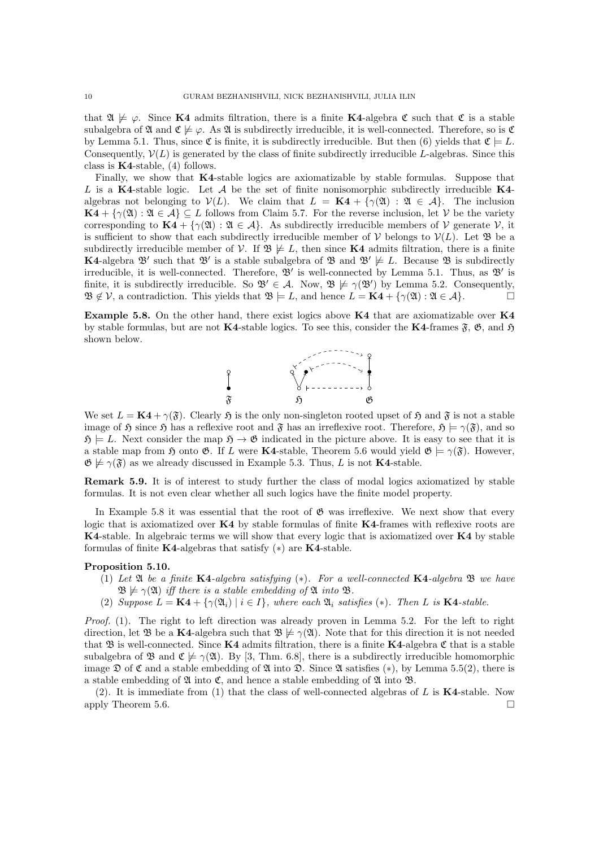that  $\mathfrak{A} \not\models \varphi$ . Since **K4** admits filtration, there is a finite **K4**-algebra  $\mathfrak{C}$  such that  $\mathfrak{C}$  is a stable subalgebra of  $\mathfrak A$  and  $\mathfrak C \not\models \varphi$ . As  $\mathfrak A$  is subdirectly irreducible, it is well-connected. Therefore, so is  $\mathfrak C$ by Lemma 5.1. Thus, since  $\mathfrak{C}$  is finite, it is subdirectly irreducible. But then (6) yields that  $\mathfrak{C} \models L$ . Consequently,  $V(L)$  is generated by the class of finite subdirectly irreducible *L*-algebras. Since this class is  $K4$ -stable, (4) follows.

Finally, we show that K4-stable logics are axiomatizable by stable formulas. Suppose that *L* is a K4-stable logic. Let *A* be the set of finite nonisomorphic subdirectly irreducible K4 algebras not belonging to  $V(L)$ . We claim that  $L = \mathbf{K4} + {\gamma(\mathfrak{A}) : \mathfrak{A} \in \mathcal{A}}$ . The inclusion  $\mathbf{K4} + {\gamma(\mathfrak{A}) : \mathfrak{A} \in \mathcal{A}} \subseteq L$  follows from Claim 5.7. For the reverse inclusion, let *V* be the variety corresponding to  $\mathbf{K4} + {\gamma(\mathfrak{A}) : \mathfrak{A} \in \mathcal{A}}$ . As subdirectly irreducible members of  $\mathcal V$  generate  $\mathcal V$ , it is sufficient to show that each subdirectly irreducible member of  $V$  belongs to  $V(L)$ . Let  $\mathfrak{B}$  be a subdirectly irreducible member of *V*. If  $\mathfrak{B} \not\models L$ , then since **K4** admits filtration, there is a finite **K4-algebra**  $\mathfrak{B}'$  **such that**  $\mathfrak{B}'$  **is a stable subalgebra of**  $\mathfrak{B}$  **and**  $\mathfrak{B}' \not\models L$ **. Because**  $\mathfrak{B}$  **is subdirectly** irreducible, it is well-connected. Therefore,  $\mathcal{B}'$  is well-connected by Lemma 5.1. Thus, as  $\mathcal{B}'$  is finite, it is subdirectly irreducible. So  $\mathfrak{B}' \in \mathcal{A}$ . Now,  $\mathfrak{B} \not\models \gamma(\mathfrak{B}')$  by Lemma 5.2. Consequently,  $\mathfrak{B} \notin \mathcal{V}$ , a contradiction. This yields that  $\mathfrak{B} \models L$ , and hence  $L = \mathbf{K4} + {\gamma(\mathfrak{A}) : \mathfrak{A} \in A}$ .

Example 5.8. On the other hand, there exist logics above K4 that are axiomatizable over K4 by stable formulas, but are not K4-stable logics. To see this, consider the K4-frames  $\mathfrak{F}$ ,  $\mathfrak{G}$ , and  $\mathfrak{H}$ shown below.



We set  $L = \mathbf{K4} + \gamma(\mathfrak{F})$ . Clearly  $\mathfrak{H}$  is the only non-singleton rooted upset of  $\mathfrak{H}$  and  $\mathfrak{F}$  is not a stable image of  $\mathfrak{H}$  since  $\mathfrak{H}$  has a reflexive root and  $\mathfrak{F}$  has an irreflexive root. Therefore,  $\mathfrak{H} \models \gamma(\mathfrak{F})$ , and so  $\mathfrak{H} \models L$ . Next consider the map  $\mathfrak{H} \rightarrow \mathfrak{G}$  indicated in the picture above. It is easy to see that it is a stable map from  $\mathfrak{H}$  onto  $\mathfrak{G}$ . If *L* were **K4**-stable, Theorem 5.6 would yield  $\mathfrak{G} \models \gamma(\mathfrak{F})$ . However,  $\mathfrak{G} \not\models \gamma(\mathfrak{F})$  as we already discussed in Example 5.3. Thus, *L* is not **K4**-stable.

Remark 5.9. It is of interest to study further the class of modal logics axiomatized by stable formulas. It is not even clear whether all such logics have the finite model property.

In Example 5.8 it was essential that the root of  $\mathfrak{G}$  was irreflexive. We next show that every logic that is axiomatized over K4 by stable formulas of finite K4-frames with reflexive roots are K4-stable. In algebraic terms we will show that every logic that is axiomatized over K4 by stable formulas of finite K4-algebras that satisfy  $(*)$  are K4-stable.

## Proposition 5.10.

- $(1)$  *Let*  $\mathfrak A$  *be a finite* K4*-algebra satisfying*  $(*)$ *. For a well-connected* K4*-algebra*  $\mathfrak B$  *we have*  $\mathfrak{B} \not\models \gamma(\mathfrak{A})$  *iff there is a stable embedding of*  $\mathfrak{A}$  *into*  $\mathfrak{B}$ *.*
- (2) *Suppose*  $L = \mathbf{K4} + {\gamma(\mathfrak{A}_i) \mid i \in I}$ , where each  $\mathfrak{A}_i$  satisfies (\*). Then L is  $\mathbf{K4}\text{-stable}$ .

*Proof.* (1). The right to left direction was already proven in Lemma 5.2. For the left to right direction, let  $\mathfrak{B}$  be a K4-algebra such that  $\mathfrak{B} \not\models \gamma(\mathfrak{A})$ . Note that for this direction it is not needed that B is well-connected. Since  $K4$  admits filtration, there is a finite  $K4$ -algebra C that is a stable subalgebra of  $\mathfrak{B}$  and  $\mathfrak{C} \not\models \gamma(\mathfrak{A})$ . By [3, Thm. 6.8], there is a subdirectly irreducible homomorphic image  $\mathfrak D$  of  $\mathfrak C$  and a stable embedding of  $\mathfrak A$  into  $\mathfrak D$ . Since  $\mathfrak A$  satisfies (\*), by Lemma 5.5(2), there is a stable embedding of  $\mathfrak A$  into  $\mathfrak C$ , and hence a stable embedding of  $\mathfrak A$  into  $\mathfrak B$ .

(2). It is immediate from (1) that the class of well-connected algebras of *L* is K4-stable. Now apply Theorem 5.6.  $\Box$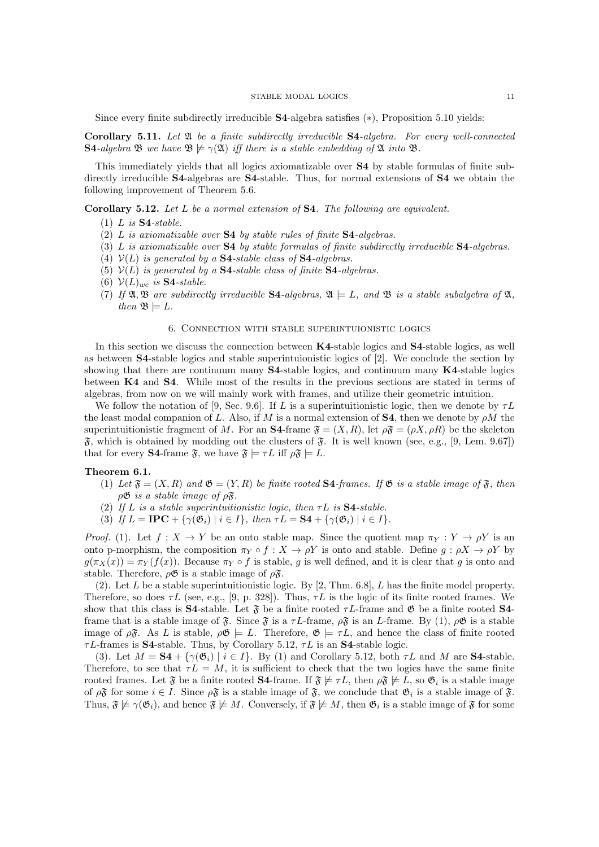#### STABLE MODAL LOGICS 11

Since every finite subdirectly irreducible  $S4$ -algebra satisfies  $(*)$ , Proposition 5.10 yields:

Corollary 5.11. *Let* A *be a finite subdirectly irreducible* S4*-algebra. For every well-connected* S4-algebra B we have  $\mathfrak{B} \not\models \gamma(\mathfrak{A})$  *iff there is a stable embedding of*  $\mathfrak{A}$  *into*  $\mathfrak{B}$ *.* 

This immediately yields that all logics axiomatizable over S4 by stable formulas of finite subdirectly irreducible **S4**-algebras are **S4**-stable. Thus, for normal extensions of **S4** we obtain the following improvement of Theorem 5.6.

Corollary 5.12. *Let L be a normal extension of* S4*. The following are equivalent.*

- (1) *L is* S4*-stable.*
- (2) *L is axiomatizable over* S4 *by stable rules of finite* S4*-algebras.*
- (3) *L is axiomatizable over* S4 *by stable formulas of finite subdirectly irreducible* S4*-algebras.*
- (4)  $V(L)$  *is generated by a* **S4**-stable class of **S4**-algebras.
- (5)  $V(L)$  *is generated by a* **S4**-stable class of finite **S4**-algebras.
- (6) *V*(*L*)*wc is* S4*-stable.*
- (7) If  $\mathfrak{A}, \mathfrak{B}$  are subdirectly irreducible **S4**-algebras,  $\mathfrak{A} \models L$ , and  $\mathfrak{B}$  is a stable subalgebra of  $\mathfrak{A}$ , *then*  $\mathfrak{B} \models L$ *.*

### 6. Connection with stable superintuionistic logics

In this section we discuss the connection between K4-stable logics and S4-stable logics, as well as between S4-stable logics and stable superintuionistic logics of [2]. We conclude the section by showing that there are continuum many S4-stable logics, and continuum many K4-stable logics between K4 and S4. While most of the results in the previous sections are stated in terms of algebras, from now on we will mainly work with frames, and utilize their geometric intuition.

We follow the notation of [9, Sec. 9.6]. If L is a superintuitionistic logic, then we denote by  $\tau L$ the least modal companion of L. Also, if M is a normal extension of **S4**, then we denote by  $\rho M$  the superintuitionistic fragment of *M*. For an **S4**-frame  $\mathfrak{F} = (X, R)$ , let  $\rho \mathfrak{F} = (\rho X, \rho R)$  be the skeleton  $\mathfrak{F}$ , which is obtained by modding out the clusters of  $\mathfrak{F}$ . It is well known (see, e.g., [9, Lem. 9.67]) that for every **S4**-frame  $\mathfrak{F}$ , we have  $\mathfrak{F} \models \tau L$  iff  $\rho \mathfrak{F} \models L$ .

## Theorem 6.1.

- (1) Let  $\mathfrak{F} = (X, R)$  and  $\mathfrak{G} = (Y, R)$  be finite rooted **S4**-frames. If  $\mathfrak{G}$  is a stable image of  $\mathfrak{F}$ , then  $\rho\mathfrak{G}$  *is a stable image of*  $\rho\mathfrak{F}$ *.*
- (2) If  $L$  *is a stable superintuitionistic logic, then*  $\tau L$  *is* **S4**-stable.
- (3) *If*  $L = \text{IPC} + {\gamma(\mathfrak{G}_i) | i \in I}$ , then  $\tau L = \text{S4} + {\gamma(\mathfrak{G}_i) | i \in I}$ .

*Proof.* (1). Let  $f: X \to Y$  be an onto stable map. Since the quotient map  $\pi_Y: Y \to \rho Y$  is an onto p-morphism, the composition  $\pi_Y \circ f : X \to \rho Y$  is onto and stable. Define  $g : \rho X \to \rho Y$  by  $g(\pi_X(x)) = \pi_Y(f(x))$ . Because  $\pi_Y \circ f$  is stable, *g* is well defined, and it is clear that *q* is onto and stable. Therefore,  $\rho \mathfrak{G}$  is a stable image of  $\rho \mathfrak{F}$ .

(2). Let *L* be a stable superintuitionistic logic. By [2, Thm. 6.8], *L* has the finite model property. Therefore, so does  $\tau L$  (see, e.g., [9, p. 328]). Thus,  $\tau L$  is the logic of its finite rooted frames. We show that this class is **S4**-stable. Let  $\mathfrak{F}$  be a finite rooted  $\tau L$ -frame and  $\mathfrak{G}$  be a finite rooted **S4**frame that is a stable image of  $\mathfrak{F}$ . Since  $\mathfrak{F}$  is a  $\tau L$ -frame,  $\rho \mathfrak{F}$  is an *L*-frame. By (1),  $\rho \mathfrak{G}$  is a stable image of  $\rho \mathfrak{F}$ . As *L* is stable,  $\rho \mathfrak{G} \models L$ . Therefore,  $\mathfrak{G} \models \tau L$ , and hence the class of finite rooted  $\tau L$ -frames is **S4**-stable. Thus, by Corollary 5.12,  $\tau L$  is an **S4**-stable logic.

(3). Let  $M = S4 + \{\gamma(\mathfrak{G}_i) \mid i \in I\}$ . By (1) and Corollary 5.12, both  $\tau L$  and M are S4-stable. Therefore, to see that  $\tau L = M$ , it is sufficient to check that the two logics have the same finite rooted frames. Let  $\mathfrak{F}$  be a finite rooted **S4**-frame. If  $\mathfrak{F} \not\models \tau L$ , then  $\rho \mathfrak{F} \not\models L$ , so  $\mathfrak{G}_i$  is a stable image of  $\rho \mathfrak{F}$  for some  $i \in I$ . Since  $\rho \mathfrak{F}$  is a stable image of  $\mathfrak{F}$ , we conclude that  $\mathfrak{G}_i$  is a stable image of  $\mathfrak{F}$ . Thus,  $\mathfrak{F} \not\models \gamma(\mathfrak{G}_i)$ , and hence  $\mathfrak{F} \not\models M$ . Conversely, if  $\mathfrak{F} \not\models M$ , then  $\mathfrak{G}_i$  is a stable image of  $\mathfrak{F}$  for some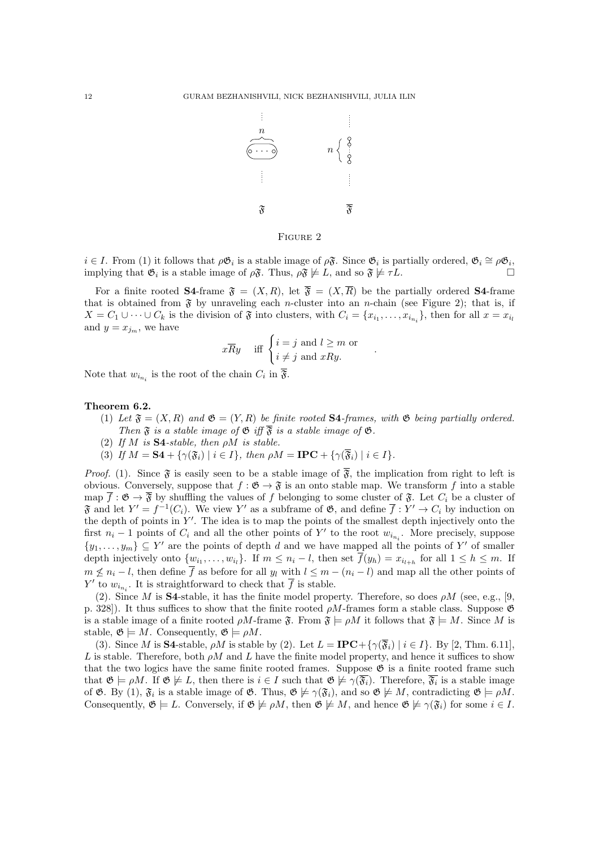

# Figure 2

 $i \in I$ . From (1) it follows that  $\rho \mathfrak{G}_i$  is a stable image of  $\rho \mathfrak{F}$ . Since  $\mathfrak{G}_i$  is partially ordered,  $\mathfrak{G}_i \cong \rho \mathfrak{G}_i$ , implying that  $\mathfrak{G}_i$  is a stable image of  $\rho \mathfrak{F}$ . Thus  $\rho \mathfrak{F} \nvd$ implying that  $\mathfrak{G}_i$  is a stable image of  $\rho \mathfrak{F}$ . Thus,  $\rho \mathfrak{F} \not\models L$ , and so  $\mathfrak{F} \not\models \tau L$ .

For a finite rooted **S4**-frame  $\mathfrak{F} = (X, R)$ , let  $\overline{\mathfrak{F}} = (X, \overline{R})$  be the partially ordered **S4**-frame that is obtained from  $\mathfrak{F}$  by unraveling each *n*-cluster into an *n*-chain (see Figure 2); that is, if  $X = C_1 \cup \cdots \cup C_k$  is the division of  $\mathfrak F$  into clusters, with  $C_i = \{x_{i_1}, \ldots, x_{i_{n_i}}\}$ , then for all  $x = x_{i_l}$ and  $y = x_{j_m}$ , we have

$$
x \overline{R}y
$$
 iff  $\begin{cases} i = j \text{ and } l \geq m \text{ or} \\ i \neq j \text{ and } xRy. \end{cases}$ .

Note that  $w_{i_n}$  is the root of the chain  $C_i$  in  $\overline{\mathfrak{F}}$ .

#### Theorem 6.2.

- (1) Let  $\mathfrak{F} = (X, R)$  and  $\mathfrak{G} = (Y, R)$  be finite rooted **S4**-frames, with  $\mathfrak{G}$  being partially ordered. *Then*  $\mathfrak{F}$  *is a stable image of*  $\mathfrak{G}$  *iff*  $\overline{\mathfrak{F}}$  *is a stable image of*  $\mathfrak{G}$ *.*
- $(2)$  *If M is* **S4**-stable, then  $\rho M$  *is stable.*
- (3) If  $M = S4 + {\gamma(\mathfrak{F}_i) \mid i \in I}$ , then  $\rho M = \text{IPC} + {\gamma(\mathfrak{F}_i) \mid i \in I}$ .

*Proof.* (1). Since  $\mathfrak{F}$  is easily seen to be a stable image of  $\overline{\mathfrak{F}}$ , the implication from right to left is obvious. Conversely, suppose that  $f : \mathfrak{G} \to \mathfrak{F}$  is an onto stable map. We transform f into a stable map  $\overline{f}$  :  $\mathfrak{G} \to \overline{\mathfrak{F}}$  by shuffling the values of f belonging to some cluster of  $\mathfrak{F}$ . Let  $C_i$  be a cluster of  $\mathfrak{F}$  and let  $Y' = f^{-1}(C_i)$ . We view  $Y'$  as a subframe of  $\mathfrak{G}$ , and define  $\overline{f}: Y' \to C_i$  by induction on the depth of points in  $Y'$ . The idea is to map the points of the smallest depth injectively onto the first  $n_i - 1$  points of  $C_i$  and all the other points of  $Y'$  to the root  $w_{i_{n_i}}$ . More precisely, suppose  $\{y_1, \ldots, y_m\} \subseteq Y'$  are the points of depth *d* and we have mapped all the points of *Y'* of smaller depth injectively onto  $\{w_{i_1}, \ldots, w_{i_l}\}\$ . If  $m \leq n_i - l$ , then set  $\overline{f}(y_h) = x_{i_{l+h}}$  for all  $1 \leq h \leq m$ . If  $m \nleq n_i - l$ , then define  $\overline{f}$  as before for all  $y_l$  with  $l \leq m - (n_i - l)$  and map all the other points of *Y*' to  $w_{i_{n_i}}$ . It is straightforward to check that *f* is stable.

(2). Since *M* is **S4**-stable, it has the finite model property. Therefore, so does  $\rho M$  (see, e.g., [9, p. 328]). It thus suffices to show that the finite rooted  $\rho M$ -frames form a stable class. Suppose  $\mathfrak{G}$ is a stable image of a finite rooted  $\rho M$ -frame  $\mathfrak{F}$ . From  $\mathfrak{F} \models \rho M$  it follows that  $\mathfrak{F} \models M$ . Since M is stable,  $\mathfrak{G} \models M$ . Consequently,  $\mathfrak{G} \models \rho M$ .

(3). Since *M* is **S4**-stable,  $\rho M$  is stable by (2). Let  $L = \text{IPC} + {\gamma(\overline{\mathfrak{F}}_i) \mid i \in I}$ . By [2, Thm. 6.11],  $L$  is stable. Therefore, both  $\rho M$  and  $L$  have the finite model property, and hence it suffices to show that the two logics have the same finite rooted frames. Suppose  $\mathfrak{G}$  is a finite rooted frame such that  $\mathfrak{G} \models \rho M$ . If  $\mathfrak{G} \not\models L$ , then there is  $i \in I$  such that  $\mathfrak{G} \not\models \gamma(\overline{\mathfrak{F}_i})$ . Therefore,  $\overline{\mathfrak{F}_i}$  is a stable image of  $\mathfrak{G}$ . By (1),  $\mathfrak{F}_i$  is a stable image of  $\mathfrak{G}$ . Thus,  $\mathfrak{G} \not\models \gamma(\mathfrak{F}_i)$ , and so  $\mathfrak{G} \not\models M$ , contradicting  $\mathfrak{G} \models \rho M$ . Consequently,  $\mathfrak{G} \models L$ . Conversely, if  $\mathfrak{G} \not\models \rho M$ , then  $\mathfrak{G} \not\models M$ , and hence  $\mathfrak{G} \not\models \gamma(\mathfrak{F}_i)$  for some  $i \in I$ .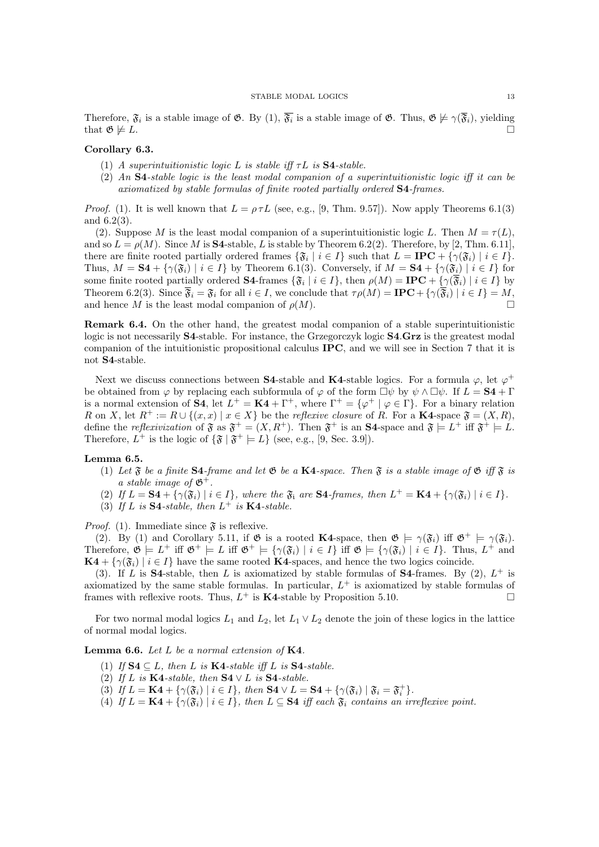Therefore,  $\mathfrak{F}_i$  is a stable image of  $\mathfrak{G}$ . By (1),  $\overline{\mathfrak{F}_i}$  is a stable image of  $\mathfrak{G}$ . Thus,  $\mathfrak{G} \not\models \gamma(\overline{\mathfrak{F}_i})$ , yielding that  $\mathfrak{G} \not\models L$ . that  $\mathfrak{G} \not\models L$ .

### Corollary 6.3.

- (1) *A superintuitionistic logic L is stable iff*  $\tau L$  *is* **S4**-stable.
- $(2)$  *An* **S4**-stable logic is the least modal companion of a superintuitionistic logic iff it can be *axiomatized by stable formulas of finite rooted partially ordered* S4*-frames.*

*Proof.* (1). It is well known that  $L = \rho \tau L$  (see, e.g., [9, Thm. 9.57]). Now apply Theorems 6.1(3) and 6.2(3).

(2). Suppose *M* is the least modal companion of a superintuitionistic logic *L*. Then  $M = \tau(L)$ , and so  $L = \rho(M)$ . Since *M* is **S4**-stable, *L* is stable by Theorem 6.2(2). Therefore, by [2, Thm. 6.11], there are finite rooted partially ordered frames  ${\mathfrak{F}_i \mid i \in I}$  such that  $L = \text{IPC} + {\gamma(\mathfrak{F}_i) \mid i \in I}$ . Thus,  $M = S4 + {\gamma(\mathfrak{F}_i) \mid i \in I}$  by Theorem 6.1(3). Conversely, if  $M = S4 + {\gamma(\mathfrak{F}_i) \mid i \in I}$  for some finite rooted partially ordered **S4**-frames  $\{\mathfrak{F}_i \mid i \in I\}$ , then  $\rho(M) = \textbf{IPC} + \{\gamma(\overline{\mathfrak{F}}_i) \mid i \in I\}$  by Theorem 6.2(3). Since  $\overline{\mathfrak{F}}_i = \mathfrak{F}_i$  for all  $i \in I$ , we conclude that  $\tau \rho(M) = \textbf{IPC} + {\gamma(\overline{\mathfrak{F}}_i) \mid i \in I} = M$ , and hence *M* is the least modal companion of  $\rho(M)$ .

Remark 6.4. On the other hand, the greatest modal companion of a stable superintuitionistic logic is not necessarily S4-stable. For instance, the Grzegorczyk logic S4*.*Grz is the greatest modal companion of the intuitionistic propositional calculus IPC, and we will see in Section 7 that it is not S4-stable.

Next we discuss connections between S4-stable and K4-stable logics. For a formula  $\varphi$ , let  $\varphi^+$ be obtained from  $\varphi$  by replacing each subformula of  $\varphi$  of the form  $\Box \psi$  by  $\psi \wedge \Box \psi$ . If  $L = S4 + \Gamma$ is a normal extension of **S4**, let  $L^+ = \mathbf{K4} + \Gamma^+$ , where  $\Gamma^+ = {\varphi^+ \mid \varphi \in \Gamma}$ . For a binary relation *R* on *X*, let  $R^+ := R \cup \{(x, x) \mid x \in X\}$  be the *reflexive closure* of *R*. For a **K4**-space  $\mathfrak{F} = (X, R)$ , define the *reflexivization* of  $\mathfrak{F}$  as  $\mathfrak{F}^+ = (X, R^+)$ . Then  $\mathfrak{F}^+$  is an **S4**-space and  $\mathfrak{F} \models L^+$  iff  $\mathfrak{F}^+ \models L$ . Therefore,  $L^+$  is the logic of  $\{\mathfrak{F} \mid \mathfrak{F}^+ \models L\}$  (see, e.g., [9, Sec. 3.9]).

Lemma 6.5.

- (1) Let  $\mathfrak F$  be a finite **S4**-frame and let  $\mathfrak G$  be a **K4**-space. Then  $\mathfrak F$  is a stable image of  $\mathfrak G$  iff  $\mathfrak F$  is *a stable image of*  $\mathfrak{G}^+$ .
- (2) If  $L = S4 + {\gamma(\mathfrak{F}_i) \mid i \in I}$ , where the  $\mathfrak{F}_i$  are  $S4$ -frames, then  $L^+ = K4 + {\gamma(\mathfrak{F}_i) \mid i \in I}$ .
- (3) If *L* is **S4**-stable, then  $L^+$  is **K4**-stable.

*Proof.* (1). Immediate since  $\mathfrak{F}$  is reflexive.

(2). By (1) and Corollary 5.11, if  $\mathfrak{G}$  is a rooted **K4**-space, then  $\mathfrak{G} \models \gamma(\mathfrak{F}_i)$  iff  $\mathfrak{G}^+ \models \gamma(\mathfrak{F}_i)$ . Therefore,  $\mathfrak{G} \models L^+$  iff  $\mathfrak{G}^+ \models L$  iff  $\mathfrak{G}^+ \models {\varphi}(\mathfrak{F}_i) \mid i \in I$  iff  $\mathfrak{G} \models {\varphi}(\mathfrak{F}_i) \mid i \in I$ . Thus,  $L^+$  and  $\mathbf{K4} + \{ \gamma(\mathfrak{F}_i) \mid i \in I \}$  have the same rooted  $\mathbf{K4}$ -spaces, and hence the two logics coincide.

(3). If *L* is **S4**-stable, then *L* is axiomatized by stable formulas of **S4**-frames. By (2),  $L^+$  is axiomatized by the same stable formulas. In particular,  $L^+$  is axiomatized by stable formulas of frames with reflexive roots. Thus,  $L^+$  is **K4**-stable by Proposition 5.10.

For two normal modal logics  $L_1$  and  $L_2$ , let  $L_1 \vee L_2$  denote the join of these logics in the lattice of normal modal logics.

#### Lemma 6.6. *Let L be a normal extension of* K4*.*

- (1) If  $S4 \subseteq L$ , then *L* is  $K4$ -stable iff *L* is  $S4$ -stable.
- (2) If *L* is **K4**-stable, then  $S4 \vee L$  is  $S4$ -stable.
- (3) *If*  $L = \mathbf{K4} + {\gamma(\mathfrak{F}_i) \mid i \in I}$ , then  $\mathbf{S4} \vee L = \mathbf{S4} + {\gamma(\mathfrak{F}_i) \mid \mathfrak{F}_i = \mathfrak{F}_i^+}$ .
- (4) If  $L = \mathbf{K4} + {\gamma(\mathfrak{F}_i) \mid i \in I}$ , then  $L \subseteq \mathbf{S4}$  iff each  $\mathfrak{F}_i$  contains an irreflexive point.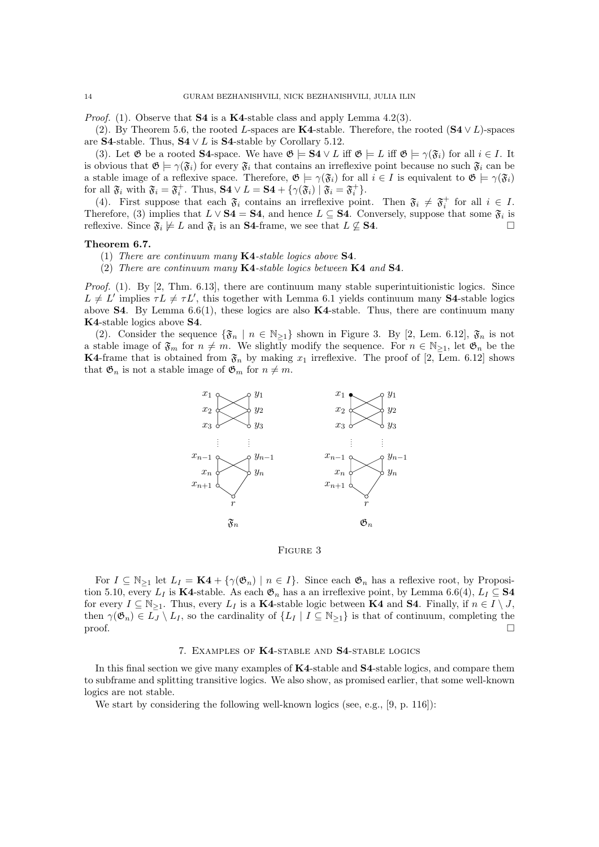*Proof.* (1). Observe that **S4** is a **K4**-stable class and apply Lemma 4.2(3).

(2). By Theorem 5.6, the rooted *L*-spaces are **K4**-stable. Therefore, the rooted  $(S4 \vee L)$ -spaces are **S4**-stable. Thus,  $S4 \vee L$  is S4-stable by Corollary 5.12.

(3). Let  $\mathfrak{G}$  be a rooted **S4**-space. We have  $\mathfrak{G} \models \mathbf{S4} \vee L$  iff  $\mathfrak{G} \models L$  iff  $\mathfrak{G} \models \gamma(\mathfrak{F}_i)$  for all  $i \in I$ . It is obvious that  $\mathfrak{G} \models \gamma(\mathfrak{F}_i)$  for every  $\mathfrak{F}_i$  that contains an irreflexive point because no such  $\mathfrak{F}_i$  can be a stable image of a reflexive space. Therefore,  $\mathfrak{G} \models \gamma(\mathfrak{F}_i)$  for all  $i \in I$  is equivalent to  $\mathfrak{G} \models \gamma(\mathfrak{F}_i)$ for all  $\mathfrak{F}_i$  with  $\mathfrak{F}_i = \mathfrak{F}_i^+$ . Thus,  $S4 \vee L = S4 + {\gamma(\mathfrak{F}_i) \mid \mathfrak{F}_i = \mathfrak{F}_i^+}$ .

(4). First suppose that each  $\mathfrak{F}_i$  contains an irreflexive point. Then  $\mathfrak{F}_i \neq \mathfrak{F}_i^+$  for all  $i \in I$ . Therefore, (3) implies that  $L \vee S4 = S4$ , and hence  $L \subseteq S4$ . Conversely, suppose that some  $\mathfrak{F}_i$  is reflexive. Since  $\mathfrak{F}_i \not\models L$  and  $\mathfrak{F}_i$  is an  $S4$ -frame, we see that  $L \not\subset S4$ . reflexive. Since  $\mathfrak{F}_i \not\models L$  and  $\mathfrak{F}_i$  is an **S4**-frame, we see that  $L \not\subseteq$  **S4**.

# Theorem 6.7.

(1) *There are continuum many* K4*-stable logics above* S4*.*

(2) *There are continuum many* K4*-stable logics between* K4 *and* S4*.*

*Proof.* (1). By [2, Thm. 6.13], there are continuum many stable superintuitionistic logics. Since  $L \neq L'$  implies  $\tau L \neq \tau L'$ , this together with Lemma 6.1 yields continuum many S4-stable logics above **S4**. By Lemma 6.6(1), these logics are also  $K4$ -stable. Thus, there are continuum many K4-stable logics above S4.

(2). Consider the sequence  $\{\mathfrak{F}_n \mid n \in \mathbb{N}_{\geq 1}\}$  shown in Figure 3. By [2, Lem. 6.12],  $\mathfrak{F}_n$  is not a stable image of  $\mathfrak{F}_m$  for  $n \neq m$ . We slightly modify the sequence. For  $n \in \mathbb{N}_{\geq 1}$ , let  $\mathfrak{G}_n$  be the **K4-frame that is obtained from**  $\mathfrak{F}_n$  **by making**  $x_1$  **irreflexive. The proof of [2, Lem. 6.12] shows** that  $\mathfrak{G}_n$  is not a stable image of  $\mathfrak{G}_m$  for  $n \neq m$ .



Figure 3

For  $I \subseteq \mathbb{N}_{\geq 1}$  let  $L_I = \mathbf{K4} + {\gamma(\mathfrak{G}_n) \mid n \in I}$ . Since each  $\mathfrak{G}_n$  has a reflexive root, by Proposition 5.10, every  $L_I$  is K4-stable. As each  $\mathfrak{G}_n$  has a an irreflexive point, by Lemma 6.6(4),  $L_I \subseteq S4$ for every  $I \subseteq \mathbb{N}_{\geq 1}$ . Thus, every  $L_I$  is a **K4**-stable logic between **K4** and **S4**. Finally, if  $n \in I \setminus J$ , then  $\gamma(\mathfrak{G}_n) \in L_J \setminus L_I$ , so the cardinality of  $\{L_I \mid I \subseteq \mathbb{N}_{\geq 1}\}$  is that of continuum, completing the proof. proof.  $\Box$ 

#### 7. Examples of K4-stable and S4-stable logics

In this final section we give many examples of **K4**-stable and **S4**-stable logics, and compare them to subframe and splitting transitive logics. We also show, as promised earlier, that some well-known logics are not stable.

We start by considering the following well-known logics (see, e.g., [9, p. 116]):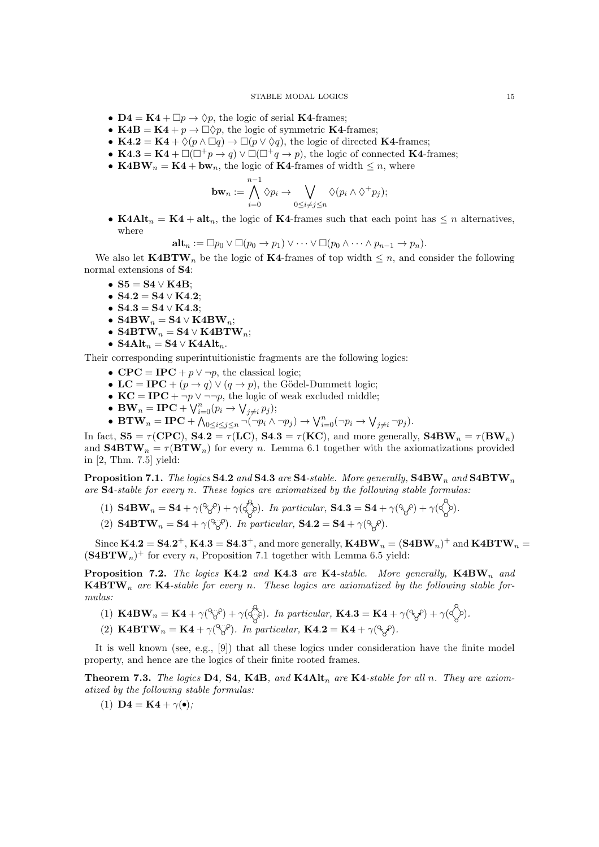- $\mathbf{D4} = \mathbf{K4} + \Box p \rightarrow \Diamond p$ , the logic of serial **K4-frames**;
- **K4B** = **K4** +  $p \rightarrow \Box \Diamond p$ , the logic of symmetric **K4**-frames;
- **K4.2** = **K4** +  $\Diamond(p \land \Box q) \rightarrow \Box(p \lor \Diamond q)$ , the logic of directed **K4**-frames;
- K4.3 = K4 +  $\Box(\Box^+ p \to q) \lor \Box(\Box^+ q \to p)$ , the logic of connected K4-frames;
- K4B $W_n = K4 + bw_n$ , the logic of K4-frames of width  $\leq n$ , where

$$
\mathbf{bw}_n := \bigwedge_{i=0}^{n-1} \Diamond p_i \to \bigvee_{0 \leq i \neq j \leq n} \Diamond (p_i \wedge \Diamond^+ p_j);
$$

• K4Alt<sub>n</sub> = K4 + alt<sub>n</sub>, the logic of K4-frames such that each point has  $\leq n$  alternatives, where

$$
\mathbf{alt}_n := \Box p_0 \vee \Box (p_0 \to p_1) \vee \cdots \vee \Box (p_0 \wedge \cdots \wedge p_{n-1} \to p_n).
$$

We also let  $\text{K4BTW}_n$  be the logic of K4-frames of top width  $\leq n$ , and consider the following normal extensions of S4:

- $S5 = S4 \vee K4B$ ;
- $S4.2 = S4 \vee K4.2$ ;
- $S4.3 = S4 \vee K4.3;$
- $S4BW_n = S4 \vee K4BW_n;$
- S4BTW<sub>n</sub> = S4  $\vee$  K4BTW<sub>n</sub>;
- $S4Alt_n = S4 \vee K4Alt_n$ .

Their corresponding superintuitionistic fragments are the following logics:

- $\mathbf{CPC} = \mathbf{IPC} + p \vee \neg p$ , the classical logic;
- LC = IPC +  $(p \rightarrow q) \vee (q \rightarrow p)$ , the Gödel-Dummett logic;
- $KC = IPC + \neg p \vee \neg \neg p$ , the logic of weak excluded middle;
- **BW**<sub>n</sub> = **IPC** +  $\bigvee_{i=0}^{n} (p_i \rightarrow \bigvee_{j \neq i} p_j);$
- **BTW**<sub>n</sub> = **IPC** +  $\bigwedge_{0 \le i \le j \le n} \neg(\neg p_i \land \neg p_j) \rightarrow \bigvee_{i=0}^n (\neg p_i \rightarrow \bigvee_{j \ne i} \neg p_j).$

In fact,  $S5 = \tau(CPC)$ ,  $S4.2 = \tau(LC)$ ,  $S4.3 = \tau(KC)$ , and more generally,  $S4BW_n = \tau(BW_n)$ and  $\mathbf{S4BTW}_n = \tau(\mathbf{BTW}_n)$  for every *n*. Lemma 6.1 together with the axiomatizations provided in [2, Thm. 7.5] yield:

Proposition 7.1. *The logics* S4*.*2 *and* S4*.*3 *are* S4*-stable. More generally,* S4BW*<sup>n</sup> and* S4BTW*<sup>n</sup> are* S4*-stable for every n. These logics are axiomatized by the following stable formulas:*

- (1)  $S4BW_n = S4 + \gamma(\mathcal{P}_\mathcal{S}^p) + \gamma(\mathcal{P}_\mathcal{S}^p)$ . In particular,  $S4.3 = S4 + \gamma(\mathcal{P}_\mathcal{S}^p) + \gamma(\mathcal{P}_\mathcal{S}^p)$ .
- (2)  $\textbf{S4BTW}_n = \textbf{S4} + \gamma(\mathcal{B}^n)$ . In particular,  $\textbf{S4.2} = \textbf{S4} + \gamma(\mathcal{B}^n)$ .

Since  $\mathbf{K4.2} = \mathbf{S4.2}^+$ ,  $\mathbf{K4.3} = \mathbf{S4.3}^+$ , and more generally,  $\mathbf{K4BW}_n = (\mathbf{S4BW}_n)^+$  and  $\mathbf{K4BTW}_n =$  $(\mathbf{S4BTW}_n)^+$  for every *n*, Proposition 7.1 together with Lemma 6.5 yield:

Proposition 7.2. *The logics* K4*.*2 *and* K4*.*3 *are* K4*-stable. More generally,* K4BW*<sup>n</sup> and* K4BTW*<sup>n</sup> are* K4*-stable for every n. These logics are axiomatized by the following stable formulas:*

- (1)  $\mathbf{K4BW}_{n} = \mathbf{K4} + \gamma(\mathcal{F}_{\mathcal{S}}^{\mathcal{P}}) + \gamma(\mathcal{F}_{\mathcal{S}}^{\mathcal{P}}).$  In particular,  $\mathbf{K4.3} = \mathbf{K4} + \gamma(\mathcal{F}_{\mathcal{S}}^{\mathcal{P}}) + \gamma(\mathcal{F}_{\mathcal{S}}^{\mathcal{P}}).$
- (2)  $\mathbf{K4BTW}_n = \mathbf{K4} + \gamma(\mathcal{C}\mathcal{S})$ . In particular,  $\mathbf{K4.2} = \mathbf{K4} + \gamma(\mathcal{C}\mathcal{S})$ .

It is well known (see, e.g., [9]) that all these logics under consideration have the finite model property, and hence are the logics of their finite rooted frames.

Theorem 7.3. *The logics* D4*,* S4*,* K4B*, and* K4Alt*<sup>n</sup> are* K4*-stable for all n. They are axiomatized by the following stable formulas:*

(1)  $\mathbf{D4} = \mathbf{K4} + \gamma(\bullet);$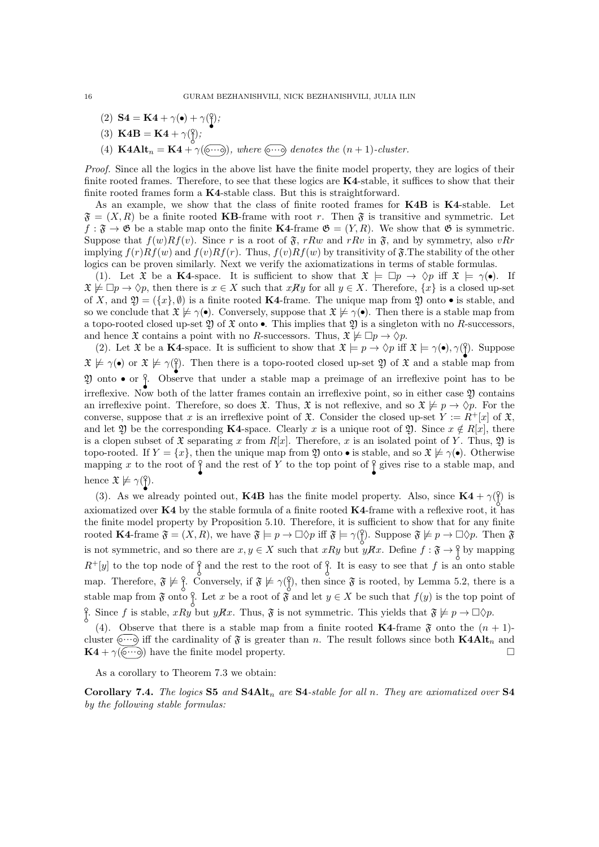(2) **S4** = **K4** +  $\gamma(\bullet)$  +  $\gamma(\frac{0}{i})$ ;

(3) 
$$
\mathbf{K4B} = \mathbf{K4} + \gamma(\hat{\mathbf{y}});
$$

(4)  $\textbf{K4Alt}_n = \textbf{K4} + \gamma(\textcircled{\cdots})$ , where  $\textcircled{\cdots}$  denotes the  $(n+1)$ -cluster.

*Proof.* Since all the logics in the above list have the finite model property, they are logics of their finite rooted frames. Therefore, to see that these logics are  $K4$ -stable, it suffices to show that their finite rooted frames form a K4-stable class. But this is straightforward.

As an example, we show that the class of finite rooted frames for **K4B** is **K4**-stable. Let  $\mathfrak{F} = (X, R)$  be a finite rooted **KB**-frame with root *r*. Then  $\mathfrak{F}$  is transitive and symmetric. Let  $f : \mathfrak{F} \to \mathfrak{G}$  be a stable map onto the finite K4-frame  $\mathfrak{G} = (Y, R)$ . We show that  $\mathfrak{G}$  is symmetric. Suppose that  $f(w)Rf(v)$ . Since r is a root of  $\mathfrak{F}$ , rRw and rRv in  $\mathfrak{F}$ , and by symmetry, also *vRr* implying  $f(r)Rf(w)$  and  $f(v)Rf(r)$ . Thus,  $f(v)Rf(w)$  by transitivity of  $\mathfrak{F}$ . The stability of the other logics can be proven similarly. Next we verify the axiomatizations in terms of stable formulas.

(1). Let  $\mathfrak X$  be a K4-space. It is sufficient to show that  $\mathfrak X \models \Box p \rightarrow \Diamond p$  iff  $\mathfrak X \models \gamma(\bullet)$ . If  $\mathfrak{X} \not\models \Box p \rightarrow \Diamond p$ , then there is  $x \in X$  such that  $xRy$  for all  $y \in X$ . Therefore,  $\{x\}$  is a closed up-set of *X*, and  $\mathfrak{Y} = (\{x\}, \emptyset)$  is a finite rooted **K4**-frame. The unique map from  $\mathfrak{Y}$  onto  $\bullet$  is stable, and so we conclude that  $\mathfrak{X} \not\models \gamma(\bullet)$ . Conversely, suppose that  $\mathfrak{X} \not\models \gamma(\bullet)$ . Then there is a stable map from a topo-rooted closed up-set 2 of  $\mathfrak X$  onto  $\bullet$ . This implies that 2 is a singleton with no *R*-successors, and hence  $\mathfrak{X}$  contains a point with no *R*-successors. Thus,  $\mathfrak{X} \not\models \Box p \rightarrow \Diamond p$ .

(2). Let  $\mathfrak X$  be a K4-space. It is sufficient to show that  $\mathfrak X \models p \rightarrow \Diamond p$  iff  $\mathfrak X \models \gamma(\bullet), \gamma(\hat{\beta})$ . Suppose  $\mathfrak{X} \not\models \gamma(\bullet)$  or  $\mathfrak{X} \not\models \gamma(\hat{\uparrow})$ . Then there is a topo-rooted closed up-set  $\mathfrak{Y}$  of  $\mathfrak{X}$  and a stable map from 20 onto  $\bullet$  or  $\frac{6}{1}$ . Observe that under a stable map a preimage of an irreflexive point has to be irreflexive. Now both of the latter frames contain an irreflexive point, so in either case 2) contains an irreflexive point. Therefore, so does  $\mathfrak{X}$ . Thus,  $\mathfrak{X}$  is not reflexive, and so  $\mathfrak{X} \not\models p \rightarrow \Diamond p$ . For the converse, suppose that *x* is an irreflexive point of  $\mathfrak{X}$ . Consider the closed up-set  $Y := R^+ [x]$  of  $\mathfrak{X}$ , and let  $\mathfrak{Y}$  be the corresponding **K4**-space. Clearly *x* is a unique root of  $\mathfrak{Y}$ . Since  $x \notin R[x]$ , there is a clopen subset of  $\mathfrak X$  separating x from  $R[x]$ . Therefore, x is an isolated point of Y. Thus,  $\mathfrak Y$  is topo-rooted. If  $Y = \{x\}$ , then the unique map from 2 onto  $\bullet$  is stable, and so  $\mathfrak{X} \not\models \gamma(\bullet)$ . Otherwise mapping x to the root of  $\frac{1}{2}$  and the rest of Y to the top point of  $\frac{1}{2}$  gives rise to a stable map, and hence  $\mathfrak{X} \not\models \gamma({\mathcal{C}})$ .

(3). As we already pointed out, **K4B** has the finite model property. Also, since  $\mathbf{K4} + \gamma(\frac{9}{1})$  is axiomatized over K4 by the stable formula of a finite rooted K4-frame with a reflexive root, it has the finite model property by Proposition 5.10. Therefore, it is sufficient to show that for any finite rooted **K4**-frame  $\mathfrak{F} = (X, R)$ , we have  $\mathfrak{F} \models p \rightarrow \Box \Diamond p$  iff  $\mathfrak{F} \models \gamma(\mathfrak{F})$ . Suppose  $\mathfrak{F} \not\models p \rightarrow \Box \Diamond p$ . Then  $\mathfrak{F}$ is not symmetric, and so there are  $x, y \in X$  such that  $xRy$  but  $yRx$ . Define  $f : \mathfrak{F} \to \mathfrak{F}$  by mapping  $R^+[y]$  to the top node of  $\frac{3}{2}$  and the rest to the root of  $\frac{3}{2}$ . It is easy to see that *f* is an onto stable map. Therefore,  $\mathfrak{F} \not\models \frac{9}{1}$ . Conversely, if  $\mathfrak{F} \not\models \gamma(\frac{9}{1})$ , then since  $\mathfrak{F}$  is rooted, by Lemma 5.2, there is a stable map from  $\mathfrak{F}$  onto  $\frac{8}{1}$ . Let x be a root of  $\mathfrak{F}$  and let  $y \in X$  be such that  $f(y)$  is the top point of Since *f* is stable, *xRy* but *yRx*. Thus,  $\mathfrak{F}$  is not symmetric. This yields that  $\mathfrak{F} \not\models p \rightarrow \Box \Diamond p$ .

(4). Observe that there is a stable map from a finite rooted **K4**-frame  $\mathfrak{F}$  onto the  $(n + 1)$ cluster  $\langle \cdots \rangle$  iff the cardinality of  $\mathfrak F$  is greater than *n*. The result follows since both **K4Alt**<sub>*n*</sub> and **K4** +  $\gamma(\circ\cdots\circ)$  have the finite model property.

As a corollary to Theorem 7.3 we obtain:

Corollary 7.4. *The logics* S5 *and* S4Alt*<sup>n</sup> are* S4*-stable for all n. They are axiomatized over* S4 *by the following stable formulas:*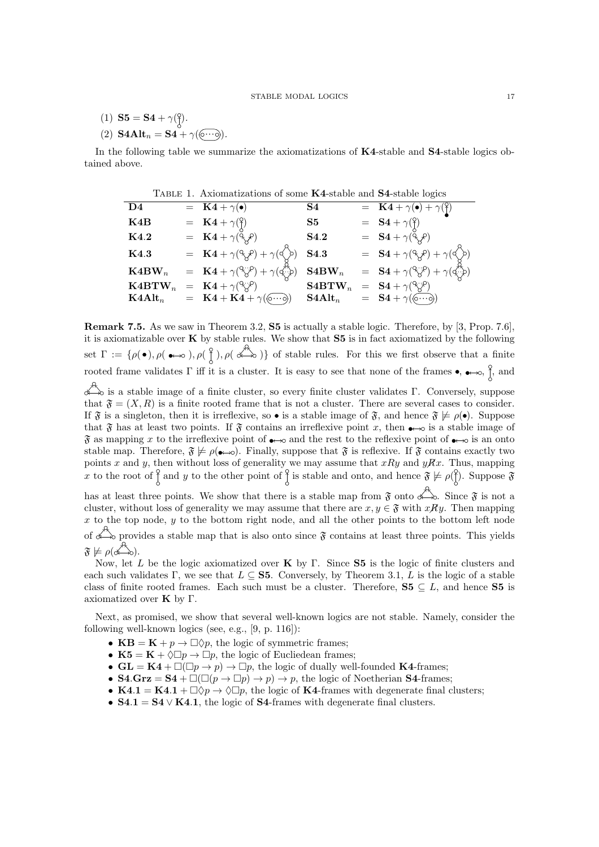- (1)  $S5 = S4 + \gamma {8 \choose 2}.$
- (2)  $\textbf{S4Alt}_n = \textbf{S4} + \gamma(\widehat{\textbf{0}\cdots\textbf{0}}).$

In the following table we summarize the axiomatizations of K4-stable and S4-stable logics obtained above.

| TABLE 1. Axiomatizations of some K4-stable and S4-stable logics |  |                                                                                                                                               |                     |  |                                                                                                                                                                                   |  |  |  |  |
|-----------------------------------------------------------------|--|-----------------------------------------------------------------------------------------------------------------------------------------------|---------------------|--|-----------------------------------------------------------------------------------------------------------------------------------------------------------------------------------|--|--|--|--|
| D4                                                              |  | $=$ K4 + $\gamma(\bullet)$                                                                                                                    | S4                  |  | $= \mathbf{K4} + \gamma(\bullet) + \gamma(\overset{\circ}{})$                                                                                                                     |  |  |  |  |
| K4B                                                             |  | $= \mathbf{K4} + \gamma(\frac{\mathbf{0}}{2})$                                                                                                | $\mathbf{S5}$       |  | $=$ <b>S4</b> + $\gamma(\xi)$                                                                                                                                                     |  |  |  |  |
| K4.2                                                            |  | $= \mathbf{K4} + \gamma(\tilde{\mathbf{Q}}_{\mathbf{X}}^{\mathbf{P}})$                                                                        | S <sub>4.2</sub>    |  | $=$ $S4 + \gamma(\ddot{\zeta}\beta)$                                                                                                                                              |  |  |  |  |
| <b>K4.3</b>                                                     |  | = $\mathbf{K4} + \gamma (\overset{\circ}{\gamma} \overset{\circ}{\gamma}) + \gamma (\overset{\circ}{\gamma} \overset{\circ}{\gamma})$         | S4.3                |  | $=$ <b>S4</b> + $\gamma$ ( $\gamma$ $\gamma$ ) + $\gamma$ ( $\gamma$ )                                                                                                            |  |  |  |  |
| $\mathbf{K}$ 4BW <sub>n</sub>                                   |  | $= \mathbf{K4} + \gamma({}^{\mathbb{Q}}\hspace{-1pt}\mathcal{S}^{\mathbb{P}}) + \gamma({}^{\mathbb{Z}}\hspace{-1pt}\mathcal{S}^{\mathbb{P}})$ | $\mathbf{S4BW}_{n}$ |  | $= \quad {\bf S4} + \gamma({}^\circ\hspace{-0.05cm}\zeta\hspace{-0.05cm}\zeta\hspace{-0.05cm}) + \gamma({\bf q}^\star\hspace{-0.05cm}\zeta\hspace{-0.05cm}\zeta\hspace{-0.05cm})$ |  |  |  |  |
| $\mathbf{K}$ 4 $\mathbf{BTW}_n$                                 |  | $= \mathbf{K4} + \gamma$ <sup>(<math>\gamma</math></sup> $\beta$ <sup>o</sup> )                                                               | $\mathbf{S4BTW}_n$  |  | $=$ $S4 + \gamma$ <sup>(<math>\gamma</math></sup> $\gamma$ <sup>2</sup> )                                                                                                         |  |  |  |  |
| $\text{K4Alt}_n$                                                |  | $= \mathbf{K4} + \mathbf{K4} + \gamma(\widehat{\circ\cdots\circ})$                                                                            | $S4Alt_n$           |  | $=$ <b>S4</b> + $\gamma(\circ\cdots\circ)$                                                                                                                                        |  |  |  |  |

Remark 7.5. As we saw in Theorem 3.2, S5 is actually a stable logic. Therefore, by [3, Prop. 7.6], it is axiomatizable over  $\bf{K}$  by stable rules. We show that  $\bf{S5}$  is in fact axiomatized by the following set  $\Gamma := \{ \rho(\bullet), \rho(\bullet \to \circ), \rho(\begin{array}{c} \circ \\ \circ \end{array}), \rho(\begin{array}{c} \circ \\ \bullet \end{array}) \}$  of stable rules. For this we first observe that a finite rooted frame validates  $\Gamma$  iff it is a cluster. It is easy to see that none of the frames  $\bullet$ ,  $\bullet \rightarrow \circ$ ,  $\uparrow$ , and

 $\overrightarrow{a}$  is a stable image of a finite cluster, so every finite cluster validates  $\Gamma$ . Conversely, suppose that  $\mathfrak{F} = (X, R)$  is a finite rooted frame that is not a cluster. There are several cases to consider. If  $\mathfrak{F}$  is a singleton, then it is irreflexive, so • is a stable image of  $\mathfrak{F}$ , and hence  $\mathfrak{F} \not\models \rho(\bullet)$ . Suppose that  $\mathfrak F$  has at least two points. If  $\mathfrak F$  contains an irreflexive point x, then  $\bullet\rightarrow\infty$  is a stable image of  $\mathfrak F$  as mapping x to the irreflexive point of  $\bullet\rightarrow\infty$  and the rest to the reflexive point of  $\bullet\rightarrow\infty$  is an onto stable map. Therefore,  $\mathfrak{F} \not\models \rho(\bullet \rightarrow \circ)$ . Finally, suppose that  $\mathfrak{F}$  is reflexive. If  $\mathfrak{F}$  contains exactly two points *x* and *y*, then without loss of generality we may assume that *xRy* and *yRx*. Thus, mapping *x* to the root of  $\int$  and *y* to the other point of  $\int$  is stable and onto, and hence  $\tilde{\mathfrak{F}} \not\models \rho(\hat{f})$ . Suppose  $\tilde{\mathfrak{F}}$ 

has at least three points. We show that there is a stable map from  $\mathfrak{F}$  onto  $\stackrel{\star}{\longleftrightarrow}$ . Since  $\mathfrak{F}$  is not a cluster, without loss of generality we may assume that there are  $x, y \in \mathfrak{F}$  with  $xRy$ . Then mapping *x* to the top node, *y* to the bottom right node, and all the other points to the bottom left node of  $\overline{\mathscr{L}}$  provides a stable map that is also onto since  $\mathfrak{F}$  contains at least three points. This yields  $\mathfrak{F} \not\models \rho(\overbrace{\infty}^{\infty})$ .

Now, let  $L$  be the logic axiomatized over  $\bf{K}$  by  $\Gamma$ . Since  $\bf{S5}$  is the logic of finite clusters and each such validates  $\Gamma$ , we see that  $L \subseteq S5$ . Conversely, by Theorem 3.1, L is the logic of a stable class of finite rooted frames. Each such must be a cluster. Therefore,  $S5 \subseteq L$ , and hence S5 is axiomatized over  $\mathbf K$  by  $\Gamma$ .

Next, as promised, we show that several well-known logics are not stable. Namely, consider the following well-known logics (see, e.g., [9, p. 116]):

- $KB = K + p \rightarrow \Box \Diamond p$ , the logic of symmetric frames;
- K5 =  $K + \Diamond \Box p \rightarrow \Box p$ , the logic of Eucliedean frames;
- $GL = K4 + \Box(\Box p \rightarrow p) \rightarrow \Box p$ , the logic of dually well-founded K4-frames;
- **S4.Grz** = **S4** +  $\Box(\Box(p \rightarrow \Box p) \rightarrow p) \rightarrow p$ , the logic of Noetherian **S4**-frames;
- K4.1 = K4.1 +  $\Box \Diamond p \rightarrow \Diamond \Box p$ , the logic of K4-frames with degenerate final clusters;
- $S4.1 = S4 \vee K4.1$ , the logic of S4-frames with degenerate final clusters.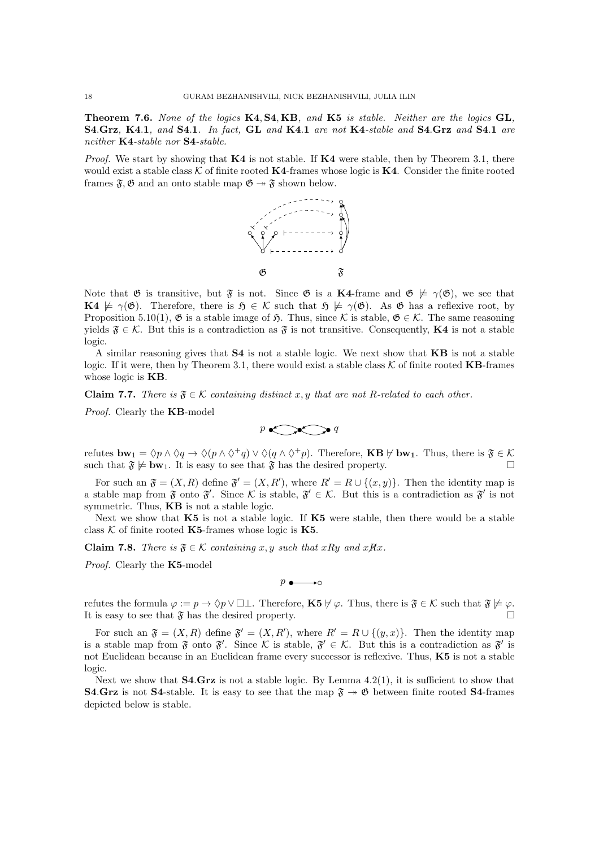Theorem 7.6. *None of the logics* K4*,* S4*,* KB*, and* K5 *is stable. Neither are the logics* GL*,* S4*.*Grz*,* K4*.*1*, and* S4*.*1*. In fact,* GL *and* K4*.*1 *are not* K4*-stable and* S4*.*Grz *and* S4*.*1 *are neither* K4*-stable nor* S4*-stable.*

*Proof.* We start by showing that **K4** is not stable. If **K4** were stable, then by Theorem 3.1, there would exist a stable class  $K$  of finite rooted **K4**-frames whose logic is **K4**. Consider the finite rooted frames  $\mathfrak{F}, \mathfrak{G}$  and an onto stable map  $\mathfrak{G} \rightarrow \mathfrak{F}$  shown below.



Note that  $\mathfrak G$  is transitive, but  $\mathfrak F$  is not. Since  $\mathfrak G$  is a **K4**-frame and  $\mathfrak G \not\models \gamma(\mathfrak G)$ , we see that  $\mathbf{K4} \not\models \gamma(\mathfrak{G})$ . Therefore, there is  $\mathfrak{H} \in \mathcal{K}$  such that  $\mathfrak{H} \not\models \gamma(\mathfrak{G})$ . As  $\mathfrak{G}$  has a reflexive root, by Proposition 5.10(1),  $\mathfrak{G}$  is a stable image of  $\mathfrak{H}$ . Thus, since K is stable,  $\mathfrak{G} \in \mathcal{K}$ . The same reasoning yields  $\mathfrak{F} \in \mathcal{K}$ . But this is a contradiction as  $\mathfrak{F}$  is not transitive. Consequently, **K4** is not a stable logic.

A similar reasoning gives that S4 is not a stable logic. We next show that KB is not a stable logic. If it were, then by Theorem 3.1, there would exist a stable class  $K$  of finite rooted **KB**-frames whose logic is **KB**.

**Claim 7.7.** There is  $\mathfrak{F} \in \mathcal{K}$  containing distinct x, y that are not R-related to each other.

*Proof.* Clearly the KB-model

$$
p \leftarrow q
$$

refutes  $bw_1 = \Diamond p \land \Diamond q \rightarrow \Diamond (p \land \Diamond^+ q) \lor \Diamond (q \land \Diamond^+ p)$ . Therefore, **KB**  $\nvdash bw_1$ . Thus, there is  $\mathfrak{F} \in \mathcal{K}$ such that  $\mathfrak{F} \not\models \mathbf{bw}_1$ . It is easy to see that  $\mathfrak{F}$  has the desired property.

For such an  $\mathfrak{F} = (X, R)$  define  $\mathfrak{F}' = (X, R')$ , where  $R' = R \cup \{(x, y)\}$ . Then the identity map is a stable map from  $\mathfrak{F}$  onto  $\mathfrak{F}'$ . Since  $\mathcal{K}$  is stable,  $\mathfrak{F}' \in \mathcal{K}$ . But this is a contradiction as  $\mathfrak{F}'$  is not symmetric. Thus, **KB** is not a stable logic.

Next we show that K5 is not a stable logic. If K5 were stable, then there would be a stable class  $K$  of finite rooted K5-frames whose logic is K5.

**Claim 7.8.** *There is*  $\mathfrak{F} \in \mathcal{K}$  *containing x,y such that xRy and xRx.* 

*Proof.* Clearly the K5-model

*p*  $\longrightarrow$  → *p* → *p* → *p* → *p* → *p* → *p* → *p* → *p* → *p* → *p* → *p* → *p* → *p* → *p* → *p* → *p* → *p* → *p* → *p* → *p* → *p* → *p* → *p* → *p* → *p* → *p* → *p* → *p* → *p* → *p* → *p* → *p* → *p* → *p* → *p* →

refutes the formula  $\varphi := p \to \Diamond p \lor \Box \bot$ . Therefore, **K5**  $\nvdash \varphi$ . Thus, there is  $\mathfrak{F} \in \mathcal{K}$  such that  $\mathfrak{F} \not\models \varphi$ .<br>It is easy to see that  $\mathfrak{F}$  has the desired property It is easy to see that  $\mathfrak F$  has the desired property.

For such an  $\mathfrak{F} = (X, R)$  define  $\mathfrak{F}' = (X, R')$ , where  $R' = R \cup \{(y, x)\}$ . Then the identity map is a stable map from  $\mathfrak{F}$  onto  $\mathfrak{F}'$ . Since  $\mathcal{K}$  is stable,  $\mathfrak{F}' \in \mathcal{K}$ . But this is a contradiction as  $\mathfrak{F}'$  is not Euclidean because in an Euclidean frame every successor is reflexive. Thus, K5 is not a stable logic.

Next we show that **S4.Grz** is not a stable logic. By Lemma  $4.2(1)$ , it is sufficient to show that **S4.Grz** is not **S4**-stable. It is easy to see that the map  $\mathfrak{F} \rightarrow \mathfrak{G}$  between finite rooted **S4**-frames depicted below is stable.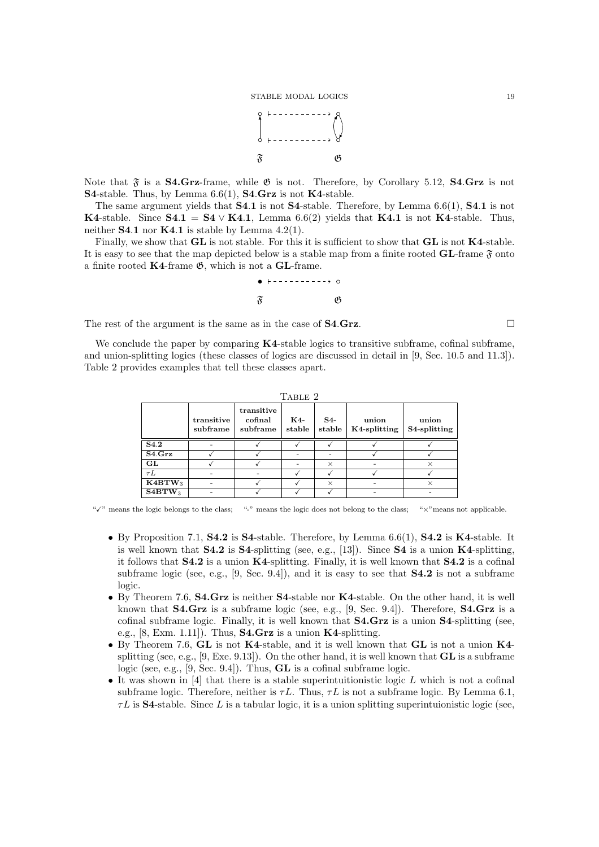

Note that  $\mathfrak{F}$  is a **S4.Grz**-frame, while  $\mathfrak{G}$  is not. Therefore, by Corollary 5.12, **S4.Grz** is not S4-stable. Thus, by Lemma 6.6(1), S4*.*Grz is not K4-stable.

The same argument yields that S4*.*1 is not S4-stable. Therefore, by Lemma 6.6(1), S4*.*1 is not K4-stable. Since  $S4.1 = S4 \vee K4.1$ , Lemma 6.6(2) yields that K4.1 is not K4-stable. Thus, neither **S4.1** nor **K4.1** is stable by Lemma 4.2(1).

Finally, we show that  $GL$  is not stable. For this it is sufficient to show that  $GL$  is not  $K4$ -stable. It is easy to see that the map depicted below is a stable map from a finite rooted  $GL$ -frame  $\mathfrak{F}$  onto a finite rooted  $K4$ -frame  $\mathfrak{G}$ , which is not a GL-frame.

$$
\begin{array}{c}\n\bullet & \vdash \texttt{----------}\rightarrow \circ \\
\mathfrak{F} & \mathfrak{G}\n\end{array}
$$

The rest of the argument is the same as in the case of **S4.Grz.**  $\Box$ 

We conclude the paper by comparing K4-stable logics to transitive subframe, cofinal subframe, and union-splitting logics (these classes of logics are discussed in detail in [9, Sec. 10.5 and 11.3]). Table 2 provides examples that tell these classes apart.

| TABLE 2            |                        |                                   |                          |                 |                       |                       |  |  |  |  |  |
|--------------------|------------------------|-----------------------------------|--------------------------|-----------------|-----------------------|-----------------------|--|--|--|--|--|
|                    | transitive<br>subframe | transitive<br>cofinal<br>subframe | K4-<br>stable            | $S4-$<br>stable | union<br>K4-splitting | union<br>S4-splitting |  |  |  |  |  |
| S <sub>4.2</sub>   |                        |                                   |                          |                 |                       |                       |  |  |  |  |  |
| S4.Grz             |                        |                                   | $\overline{\phantom{0}}$ | ٠               |                       |                       |  |  |  |  |  |
| GL                 |                        |                                   | -                        | $\times$        |                       | $\times$              |  |  |  |  |  |
| $\tau L$           |                        |                                   |                          |                 |                       |                       |  |  |  |  |  |
| K4BTW <sub>3</sub> |                        |                                   |                          | $\times$        |                       | X                     |  |  |  |  |  |
| S4BTW <sub>3</sub> |                        |                                   |                          |                 |                       |                       |  |  |  |  |  |

" $\checkmark$ " means the logic belongs to the class; "-" means the logic does not belong to the class; " $\times$ " means not applicable.

- By Proposition 7.1, **S4.2** is **S4**-stable. Therefore, by Lemma 6.6(1), **S4.2** is **K4**-stable. It is well known that  $S4.2$  is  $S4$ -splitting (see, e.g., [13]). Since  $S4$  is a union  $K4$ -splitting, it follows that  $S4.2$  is a union  $K4$ -splitting. Finally, it is well known that  $S4.2$  is a cofinal subframe logic (see, e.g.,  $[9, \text{Sec. } 9.4]$ ), and it is easy to see that  $S4.2$  is not a subframe logic.
- By Theorem 7.6, **S4.Grz** is neither **S4**-stable nor **K4**-stable. On the other hand, it is well known that **S4.Grz** is a subframe logic (see, e.g., [9, Sec. 9.4]). Therefore, **S4.Grz** is a cofinal subframe logic. Finally, it is well known that S4.Grz is a union S4-splitting (see, e.g., [8, Exm. 1.11]). Thus,  $S4.Grz$  is a union  $K4$ -splitting.
- By Theorem 7.6, GL is not K4-stable, and it is well known that GL is not a union K4splitting (see, e.g.,  $[9, Exe. 9.13]$ ). On the other hand, it is well known that **GL** is a subframe logic (see, e.g., [9, Sec. 9.4]). Thus,  $GL$  is a cofinal subframe logic.
- *•* It was shown in [4] that there is a stable superintuitionistic logic *L* which is not a cofinal subframe logic. Therefore, neither is  $\tau L$ . Thus,  $\tau L$  is not a subframe logic. By Lemma 6.1,  $\tau L$  is **S4**-stable. Since L is a tabular logic, it is a union splitting superintuionistic logic (see,